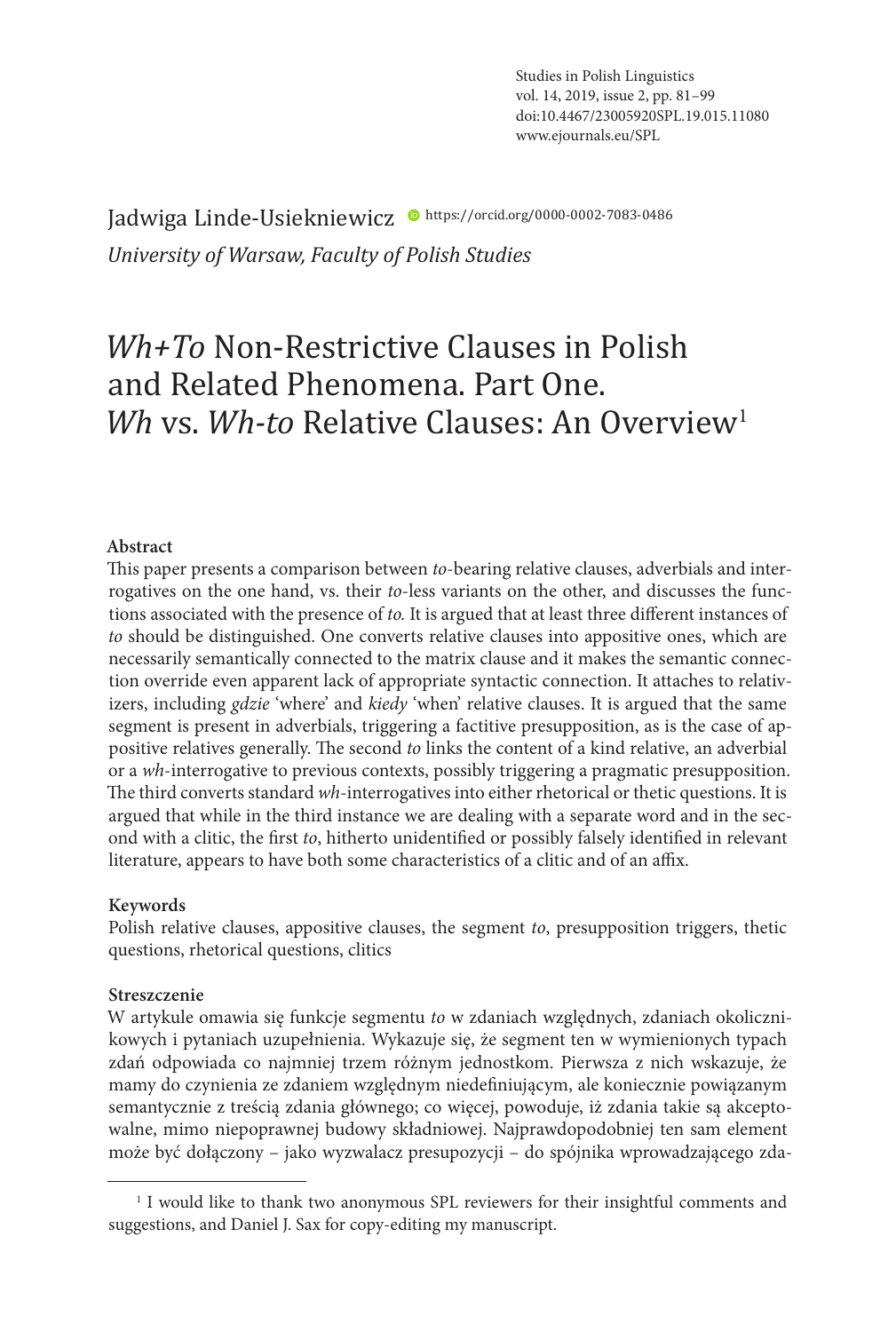Jadwiga Linde-Usiekniewicz <sup>·</sup> https://orcid.org/0000-0002-7083-0486 *University of Warsaw, Faculty of Polish Studies* 

# *Wh+To* Non-Restrictive Clauses in Polish and Related Phenomena. Part One. *Wh* vs. *Wh-to* Relative Clauses: An Overview<sup>1</sup>

#### **Abstract**

This paper presents a comparison between *to*-bearing relative clauses, adverbials and interrogatives on the one hand, vs. their *to*-less variants on the other, and discusses the functions associated with the presence of *to.* It is argued that at least three different instances of *to* should be distinguished. One converts relative clauses into appositive ones, which are necessarily semantically connected to the matrix clause and it makes the semantic connection override even apparent lack of appropriate syntactic connection. It attaches to relativizers, including *gdzie* 'where' and *kiedy* 'when' relative clauses. It is argued that the same segment is present in adverbials, triggering a factitive presupposition, as is the case of appositive relatives generally. The second *to* links the content of a kind relative, an adverbial or a *wh*-interrogative to previous contexts, possibly triggering a pragmatic presupposition. The third converts standard *wh*-interrogatives into either rhetorical or thetic questions. It is argued that while in the third instance we are dealing with a separate word and in the second with a clitic, the first *to*, hitherto unidentified or possibly falsely identified in relevant literature, appears to have both some characteristics of a clitic and of an affix.

#### **Keywords**

Polish relative clauses, appositive clauses, the segment *to*, presupposition triggers, thetic questions, rhetorical questions, clitics

#### **Streszczenie**

W artykule omawia się funkcje segmentu *to* w zdaniach względnych, zdaniach okolicznikowych i pytaniach uzupełnienia. Wykazuje się, że segment ten w wymienionych typach zdań odpowiada co najmniej trzem różnym jednostkom. Pierwsza z nich wskazuje, że mamy do czynienia ze zdaniem względnym niedefiniującym, ale koniecznie powiązanym semantycznie z treścią zdania głównego; co więcej, powoduje, iż zdania takie są akceptowalne, mimo niepoprawnej budowy składniowej. Najprawdopodobniej ten sam element może być dołączony – jako wyzwalacz presupozycji – do spójnika wprowadzającego zda-

<sup>&</sup>lt;sup>1</sup> I would like to thank two anonymous SPL reviewers for their insightful comments and suggestions, and Daniel J. Sax for copy-editing my manuscript.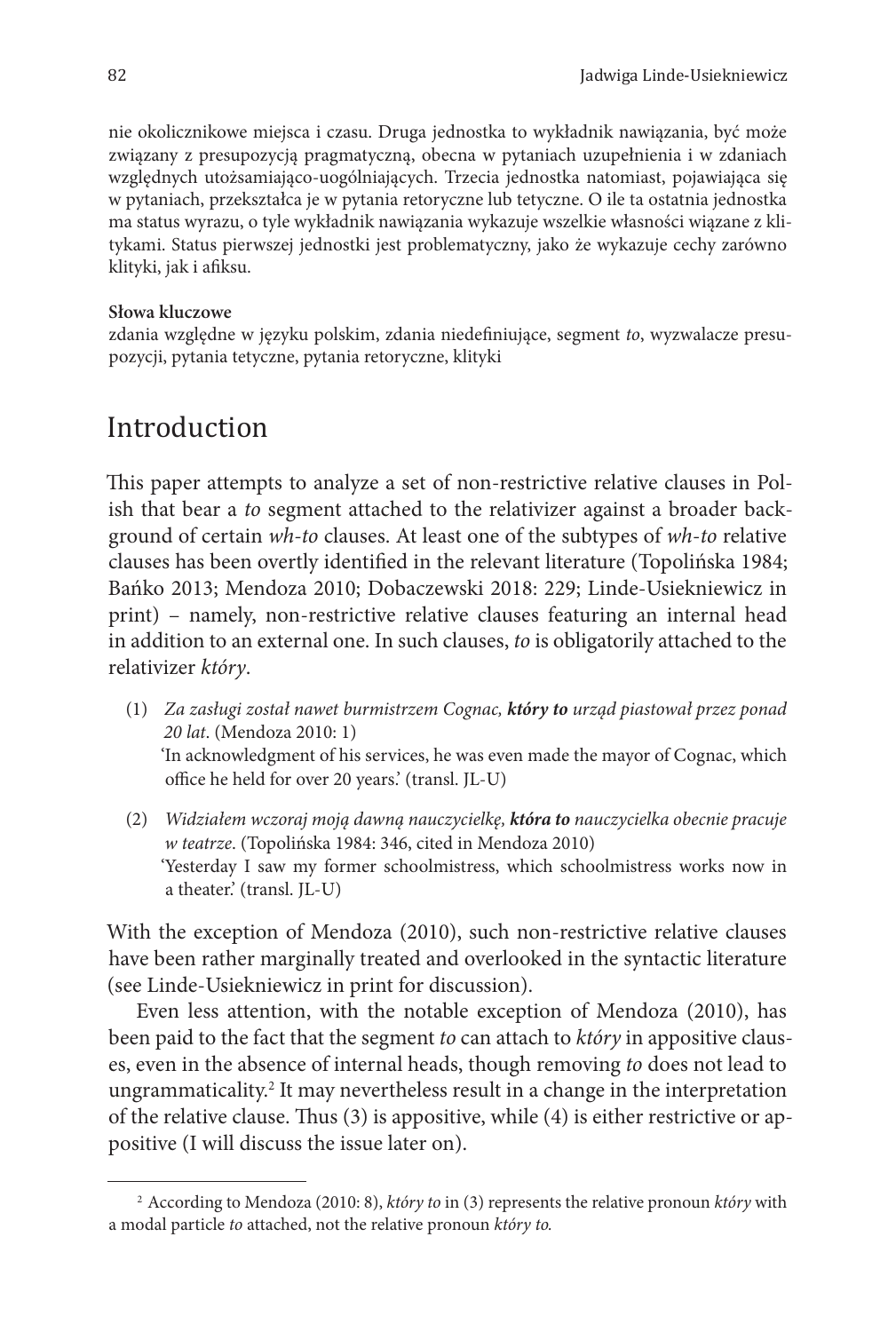nie okolicznikowe miejsca i czasu. Druga jednostka to wykładnik nawiązania, być może związany z presupozycją pragmatyczną, obecna w pytaniach uzupełnienia i w zdaniach względnych utożsamiająco-uogólniających. Trzecia jednostka natomiast, pojawiająca się w pytaniach, przekształca je w pytania retoryczne lub tetyczne. O ile ta ostatnia jednostka ma status wyrazu, o tyle wykładnik nawiązania wykazuje wszelkie własności wiązane z klitykami. Status pierwszej jednostki jest problematyczny, jako że wykazuje cechy zarówno klityki, jak i afiksu.

#### **Słowa kluczowe**

zdania względne w języku polskim, zdania niedefiniujące, segment *to*, wyzwalacze presupozycji, pytania tetyczne, pytania retoryczne, klityki

# Introduction

This paper attempts to analyze a set of non-restrictive relative clauses in Polish that bear a *to* segment attached to the relativizer against a broader background of certain *wh-to* clauses. At least one of the subtypes of *wh*-*to* relative clauses has been overtly identified in the relevant literature (Topolińska 1984; Bańko 2013; Mendoza 2010; Dobaczewski 2018: 229; Linde-Usiekniewicz in print) – namely, non-restrictive relative clauses featuring an internal head in addition to an external one. In such clauses, *to* is obligatorily attached to the relativizer *który*.

- (1) *Za zasługi został nawet burmistrzem Cognac, który to urząd piastował przez ponad 20 lat*. (Mendoza 2010: 1) 'In acknowledgment of his services, he was even made the mayor of Cognac, which office he held for over 20 years.' (transl. JL-U)
- (2) *Widziałem wczoraj moją dawną nauczycielkę, która to nauczycielka obecnie pracuje w teatrze*. (Topolińska 1984: 346, cited in Mendoza 2010) 'Yesterday I saw my former schoolmistress, which schoolmistress works now in a theater.' (transl. JL-U)

With the exception of Mendoza (2010), such non-restrictive relative clauses have been rather marginally treated and overlooked in the syntactic literature (see Linde-Usiekniewicz in print for discussion).

Even less attention, with the notable exception of Mendoza (2010), has been paid to the fact that the segment *to* can attach to *który* in appositive clauses, even in the absence of internal heads, though removing *to* does not lead to ungrammaticality.2 It may nevertheless result in a change in the interpretation of the relative clause. Thus (3) is appositive, while (4) is either restrictive or appositive (I will discuss the issue later on).

<sup>2</sup> According to Mendoza (2010: 8), *który to* in (3) represents the relative pronoun *który* with a modal particle *to* attached, not the relative pronoun *który to.*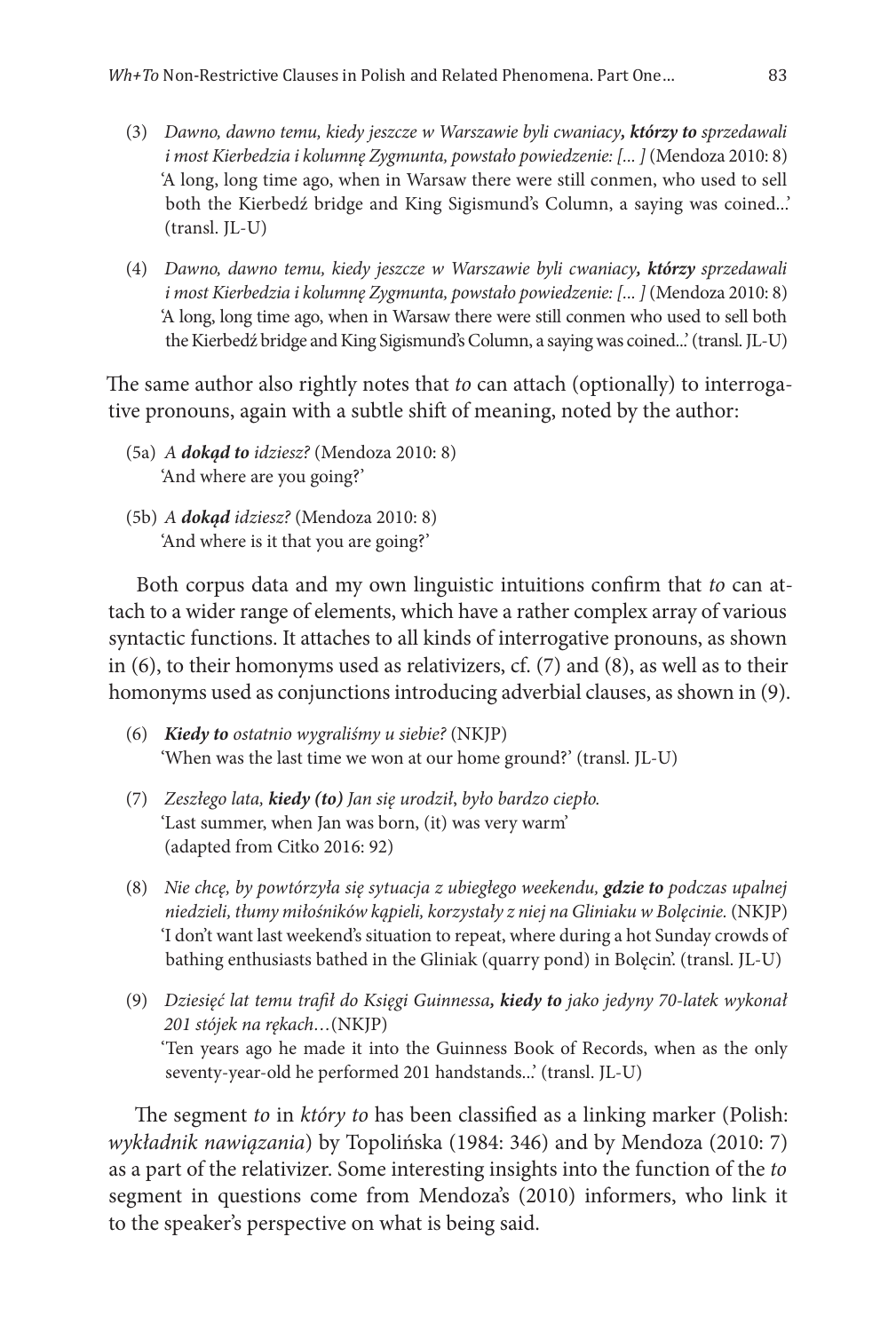- (3) *Dawno, dawno temu, kiedy jeszcze w Warszawie byli cwaniacy, którzy to sprzedawali i most Kierbedzia i kolumnę Zygmunta, powstało powiedzenie: [... ]* (Mendoza 2010: 8) 'A long, long time ago, when in Warsaw there were still conmen, who used to sell both the Kierbedź bridge and King Sigismund's Column, a saying was coined...'  $(transl. IL-U)$
- (4) *Dawno, dawno temu, kiedy jeszcze w Warszawie byli cwaniacy, którzy sprzedawali i most Kierbedzia i kolumnę Zygmunta, powstało powiedzenie: [... ]* (Mendoza 2010: 8) 'A long, long time ago, when in Warsaw there were still conmen who used to sell both the Kierbedź bridge and King Sigismund's Column, a saying was coined...' (transl. JL-U)

The same author also rightly notes that *to* can attach (optionally) to interrogative pronouns, again with a subtle shift of meaning, noted by the author:

- (5a) *A dokąd to idziesz?* (Mendoza 2010: 8) 'And where are you going?'
- (5b) *A dokąd idziesz?* (Mendoza 2010: 8) 'And where is it that you are going?'

Both corpus data and my own linguistic intuitions confirm that *to* can attach to a wider range of elements, which have a rather complex array of various syntactic functions. It attaches to all kinds of interrogative pronouns, as shown in (6), to their homonyms used as relativizers, cf. (7) and (8), as well as to their homonyms used as conjunctions introducing adverbial clauses, as shown in (9).

- (6) *Kiedy to ostatnio wygraliśmy u siebie?* (NKJP) 'When was the last time we won at our home ground?' (transl. JL-U)
- (7) *Zeszłego lata, kiedy (to) Jan się urodził*, *było bardzo ciepło.* 'Last summer, when Jan was born, (it) was very warm' (adapted from Citko 2016: 92)
- (8) *Nie chcę, by powtórzyła się sytuacja z ubiegłego weekendu, gdzie to podczas upalnej niedzieli, tłumy miłośników kąpieli, korzystały z niej na Gliniaku w Bolęcinie.* (NKJP) 'I don't want last weekend's situation to repeat, where during a hot Sunday crowds of bathing enthusiasts bathed in the Gliniak (quarry pond) in Bolęcin'. (transl. JL-U)
- (9) *Dziesięć lat temu trafił do Księgi Guinnessa, kiedy to jako jedyny 70-latek wykonał 201 stójek na rękach…*(NKJP) 'Ten years ago he made it into the Guinness Book of Records, when as the only seventy-year-old he performed 201 handstands...' (transl. JL-U)

The segment *to* in *który to* has been classified as a linking marker (Polish: *wykładnik nawiązania*) by Topolińska (1984: 346) and by Mendoza (2010: 7) as a part of the relativizer. Some interesting insights into the function of the *to* segment in questions come from Mendoza's (2010) informers, who link it to the speaker's perspective on what is being said.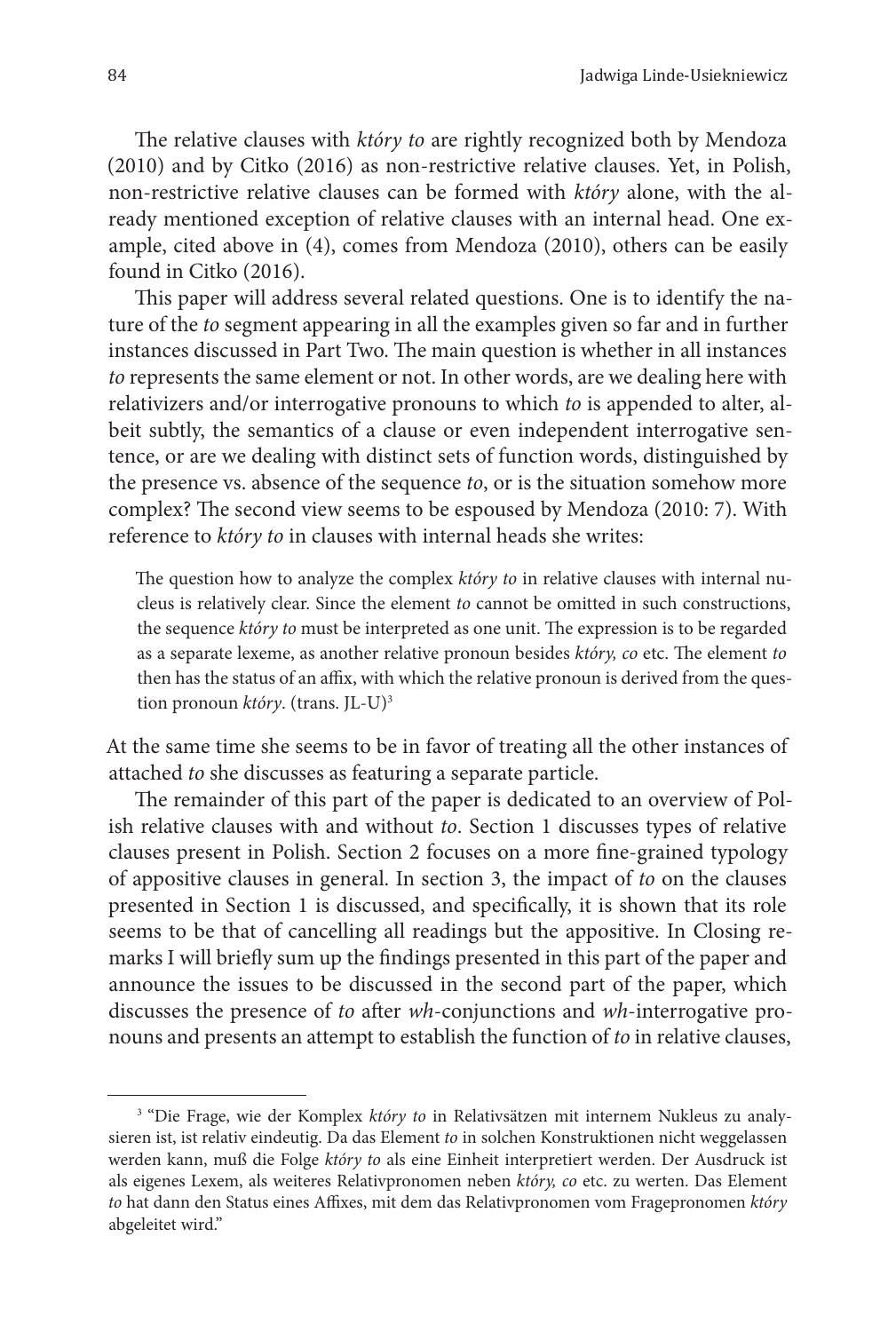The relative clauses with *który to* are rightly recognized both by Mendoza (2010) and by Citko (2016) as non-restrictive relative clauses. Yet, in Polish, non-restrictive relative clauses can be formed with *który* alone, with the already mentioned exception of relative clauses with an internal head. One example, cited above in (4), comes from Mendoza (2010), others can be easily found in Citko (2016).

This paper will address several related questions. One is to identify the nature of the *to* segment appearing in all the examples given so far and in further instances discussed in Part Two. The main question is whether in all instances *to* represents the same element or not. In other words, are we dealing here with relativizers and/or interrogative pronouns to which *to* is appended to alter, albeit subtly, the semantics of a clause or even independent interrogative sentence, or are we dealing with distinct sets of function words, distinguished by the presence vs. absence of the sequence *to*, or is the situation somehow more complex? The second view seems to be espoused by Mendoza (2010: 7). With reference to *który to* in clauses with internal heads she writes:

The question how to analyze the complex *który to* in relative clauses with internal nucleus is relatively clear. Since the element *to* cannot be omitted in such constructions, the sequence *który to* must be interpreted as one unit. The expression is to be regarded as a separate lexeme, as another relative pronoun besides *który, co* etc. The element *to* then has the status of an affix, with which the relative pronoun is derived from the question pronoun *który*. (trans. JL-U)3

At the same time she seems to be in favor of treating all the other instances of attached *to* she discusses as featuring a separate particle.

The remainder of this part of the paper is dedicated to an overview of Polish relative clauses with and without *to*. Section 1 discusses types of relative clauses present in Polish. Section 2 focuses on a more fine-grained typology of appositive clauses in general. In section 3, the impact of *to* on the clauses presented in Section 1 is discussed, and specifically, it is shown that its role seems to be that of cancelling all readings but the appositive. In Closing remarks I will briefly sum up the findings presented in this part of the paper and announce the issues to be discussed in the second part of the paper, which discusses the presence of *to* after *wh*-conjunctions and *wh*-interrogative pronouns and presents an attempt to establish the function of *to* in relative clauses,

<sup>3</sup> "Die Frage, wie der Komplex *który to* in Relativsätzen mit internem Nukleus zu analysieren ist, ist relativ eindeutig. Da das Element *to* in solchen Konstruktionen nicht weggelassen werden kann, muß die Folge *który to* als eine Einheit interpretiert werden. Der Ausdruck ist als eigenes Lexem, als weiteres Relativpronomen neben *który, co* etc. zu werten. Das Element *to* hat dann den Status eines Affixes, mit dem das Relativpronomen vom Fragepronomen *który*  abgeleitet wird."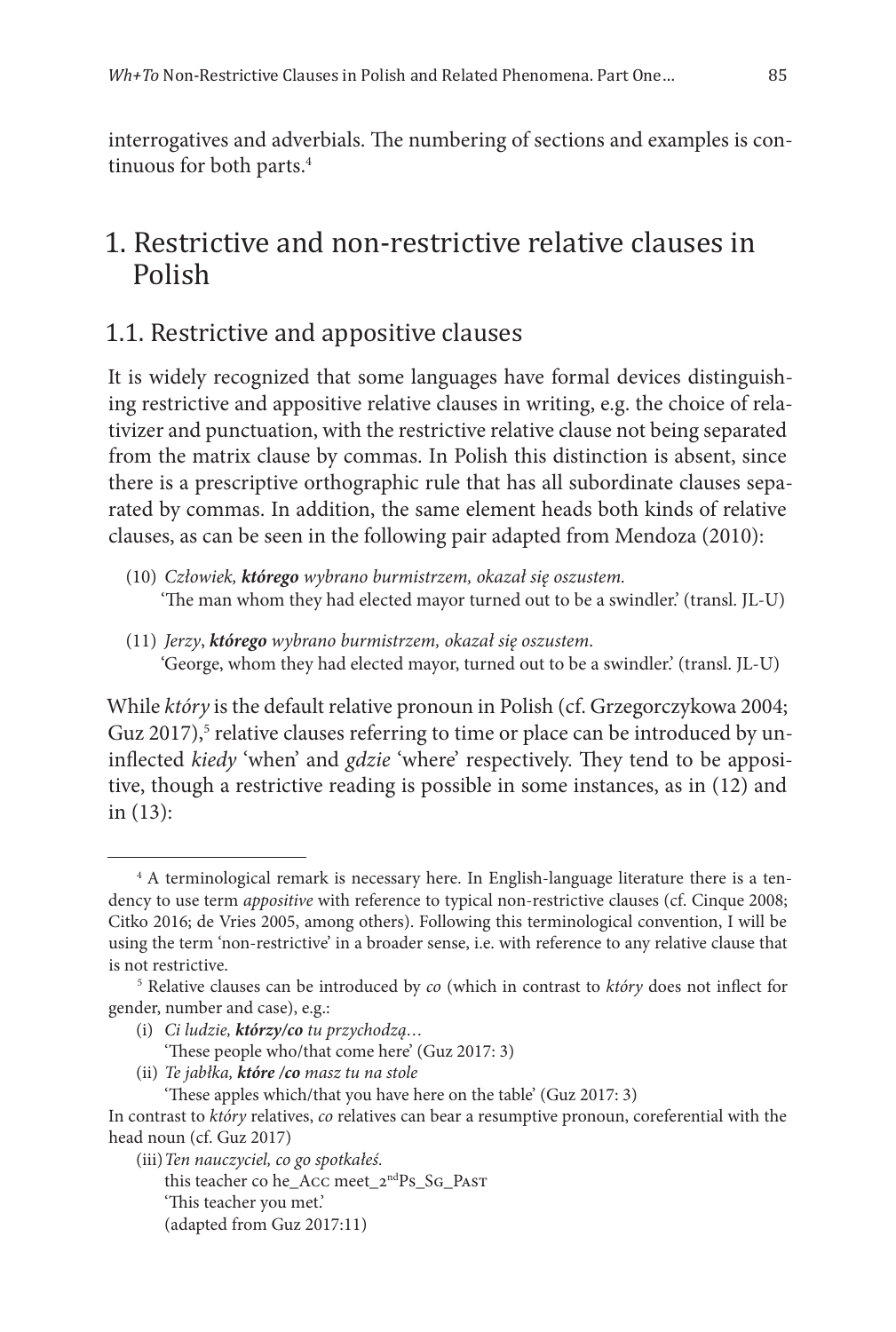interrogatives and adverbials. The numbering of sections and examples is continuous for both parts.<sup>4</sup>

# 1. Restrictive and non-restrictive relative clauses in Polish

#### 1.1. Restrictive and appositive clauses

It is widely recognized that some languages have formal devices distinguishing restrictive and appositive relative clauses in writing, e.g. the choice of relativizer and punctuation, with the restrictive relative clause not being separated from the matrix clause by commas. In Polish this distinction is absent, since there is a prescriptive orthographic rule that has all subordinate clauses separated by commas. In addition, the same element heads both kinds of relative clauses, as can be seen in the following pair adapted from Mendoza (2010):

- (10) *Człowiek, którego wybrano burmistrzem, okazał się oszustem.* 'The man whom they had elected mayor turned out to be a swindler.' (transl. JL-U)
- (11) *Jerzy*, *którego wybrano burmistrzem, okazał się oszustem*. 'George, whom they had elected mayor, turned out to be a swindler.' (transl. JL-U)

While *który* is the default relative pronoun in Polish (cf. Grzegorczykowa 2004; Guz 2017),<sup>5</sup> relative clauses referring to time or place can be introduced by uninflected *kiedy* 'when' and *gdzie* 'where' respectively. They tend to be appositive, though a restrictive reading is possible in some instances, as in (12) and in (13):

- (i) *Ci ludzie, którzy/co tu przychodzą…* 'These people who/that come here' (Guz 2017: 3)
- (ii) *Te jabłka, które /co masz tu na stole*

(iii)*Ten nauczyciel, co go spotkałeś.* this teacher co he\_Acc meet\_2ndPs\_Sg\_Past 'This teacher you met.' (adapted from Guz 2017:11)

<sup>&</sup>lt;sup>4</sup> A terminological remark is necessary here. In English-language literature there is a tendency to use term *appositive* with reference to typical non-restrictive clauses (cf. Cinque 2008; Citko 2016; de Vries 2005, among others). Following this terminological convention, I will be using the term 'non-restrictive' in a broader sense, i.e. with reference to any relative clause that is not restrictive.

<sup>5</sup> Relative clauses can be introduced by *co* (which in contrast to *który* does not inflect for gender, number and case), e.g.:

<sup>&#</sup>x27;These apples which/that you have here on the table' (Guz 2017: 3) In contrast to *który* relatives, *co* relatives can bear a resumptive pronoun, coreferential with the head noun (cf. Guz 2017)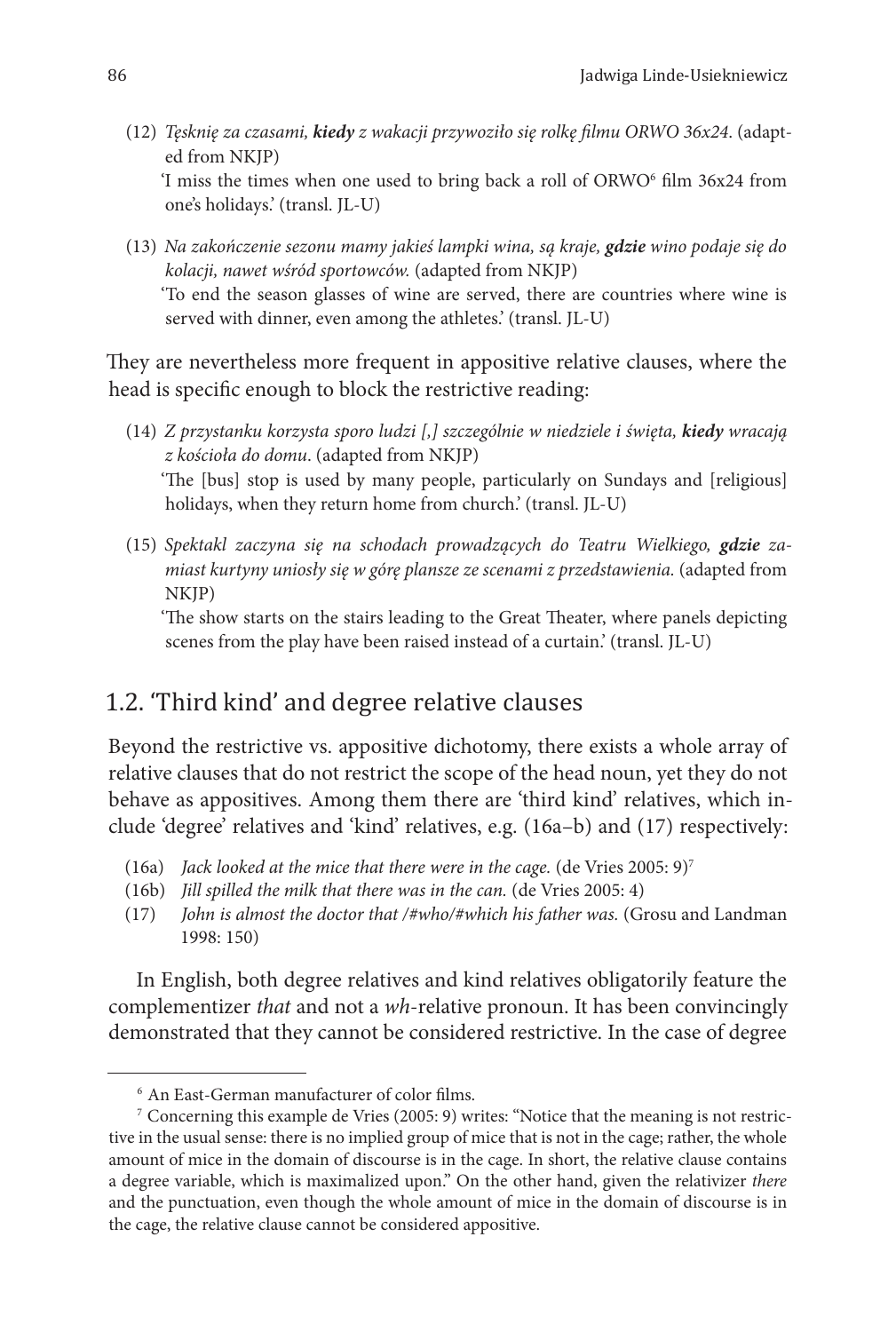- (12) *Tęsknię za czasami, kiedy z wakacji przywoziło się rolkę filmu ORWO 36x24*. (adapted from NKJP) T miss the times when one used to bring back a roll of  $\rm ORWO^6$  film 36x24 from one's holidays.' (transl. JL-U)
- (13) *Na zakończenie sezonu mamy jakieś lampki wina, są kraje, gdzie wino podaje się do kolacji, nawet wśród sportowców.* (adapted from NKJP)

'To end the season glasses of wine are served, there are countries where wine is served with dinner, even among the athletes.' (transl. JL-U)

They are nevertheless more frequent in appositive relative clauses, where the head is specific enough to block the restrictive reading:

- (14) *Z przystanku korzysta sporo ludzi [,] szczególnie w niedziele i święta, kiedy wracają z kościoła do domu*. (adapted from NKJP) 'The [bus] stop is used by many people, particularly on Sundays and [religious] holidays, when they return home from church.' (transl. JL-U)
- (15) *Spektakl zaczyna się na schodach prowadzących do Teatru Wielkiego, gdzie zamiast kurtyny uniosły się w górę plansze ze scenami z przedstawienia.* (adapted from NKJP)

'The show starts on the stairs leading to the Great Theater, where panels depicting scenes from the play have been raised instead of a curtain.' (transl. JL-U)

# 1.2. 'Third kind' and degree relative clauses

Beyond the restrictive vs. appositive dichotomy, there exists a whole array of relative clauses that do not restrict the scope of the head noun, yet they do not behave as appositives. Among them there are 'third kind' relatives, which include 'degree' relatives and 'kind' relatives, e.g. (16a–b) and (17) respectively:

- (16a) *Jack looked at the mice that there were in the cage.* (de Vries 2005: 9)7
- (16b) *Jill spilled the milk that there was in the can.* (de Vries 2005: 4)
- (17) *John is almost the doctor that /#who/#which his father was.* (Grosu and Landman 1998: 150)

In English, both degree relatives and kind relatives obligatorily feature the complementizer *that* and not a *wh*-relative pronoun. It has been convincingly demonstrated that they cannot be considered restrictive. In the case of degree

<sup>6</sup> An East-German manufacturer of color films.

<sup>7</sup> Concerning this example de Vries (2005: 9) writes: "Notice that the meaning is not restrictive in the usual sense: there is no implied group of mice that is not in the cage; rather, the whole amount of mice in the domain of discourse is in the cage. In short, the relative clause contains a degree variable, which is maximalized upon." On the other hand, given the relativizer *there*  and the punctuation, even though the whole amount of mice in the domain of discourse is in the cage, the relative clause cannot be considered appositive.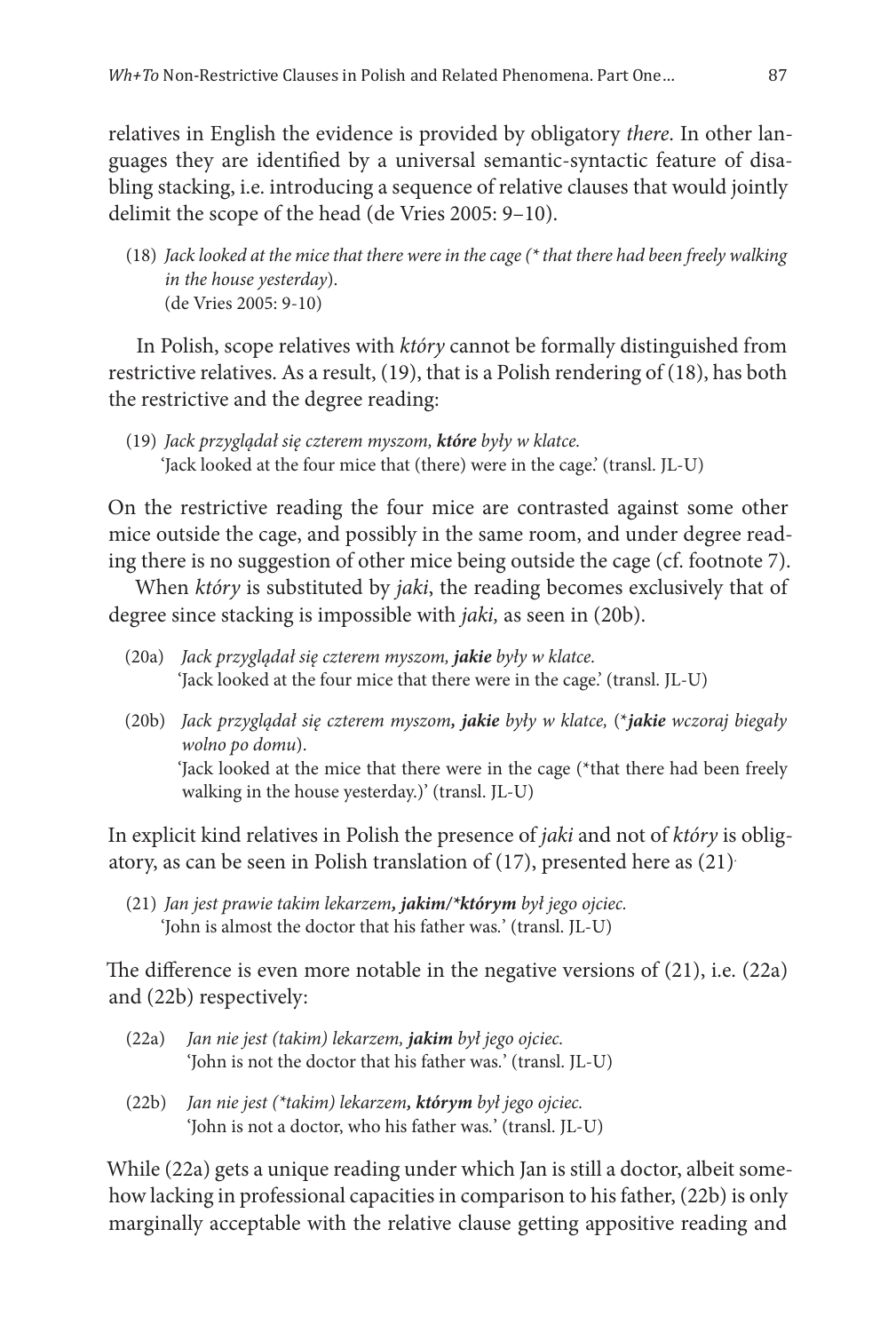relatives in English the evidence is provided by obligatory *there*. In other languages they are identified by a universal semantic-syntactic feature of disabling stacking, i.e. introducing a sequence of relative clauses that would jointly delimit the scope of the head (de Vries 2005: 9–10).

(18) *Jack looked at the mice that there were in the cage (\* that there had been freely walking in the house yesterday*). (de Vries 2005: 9-10)

In Polish, scope relatives with *który* cannot be formally distinguished from restrictive relatives. As a result, (19), that is a Polish rendering of (18), has both the restrictive and the degree reading:

(19) *Jack przyglądał się czterem myszom, które były w klatce.* 'Jack looked at the four mice that (there) were in the cage.' (transl. JL-U)

On the restrictive reading the four mice are contrasted against some other mice outside the cage, and possibly in the same room, and under degree reading there is no suggestion of other mice being outside the cage (cf. footnote 7).

When *który* is substituted by *jaki*, the reading becomes exclusively that of degree since stacking is impossible with *jaki,* as seen in (20b).

- (20a) *Jack przyglądał się czterem myszom, jakie były w klatce.* 'Jack looked at the four mice that there were in the cage.' (transl. JL-U)
- (20b) *Jack przyglądał się czterem myszom, jakie były w klatce,* (\**jakie wczoraj biegały wolno po domu*). 'Jack looked at the mice that there were in the cage (\*that there had been freely walking in the house yesterday.)' (transl. JL-U)

In explicit kind relatives in Polish the presence of *jaki* and not of *który* is obligatory, as can be seen in Polish translation of (17), presented here as (21).

(21) *Jan jest prawie takim lekarzem, jakim/\*którym był jego ojciec.* 'John is almost the doctor that his father was*.*' (transl. JL-U)

The difference is even more notable in the negative versions of (21), i.e. (22a) and (22b) respectively:

- (22a) *Jan nie jest (takim) lekarzem, jakim był jego ojciec.* 'John is not the doctor that his father was*.*' (transl. JL-U)
- (22b) *Jan nie jest (\*takim) lekarzem, którym był jego ojciec.* 'John is not a doctor, who his father was*.*' (transl. JL-U)

While (22a) gets a unique reading under which Jan is still a doctor, albeit somehow lacking in professional capacities in comparison to his father, (22b) is only marginally acceptable with the relative clause getting appositive reading and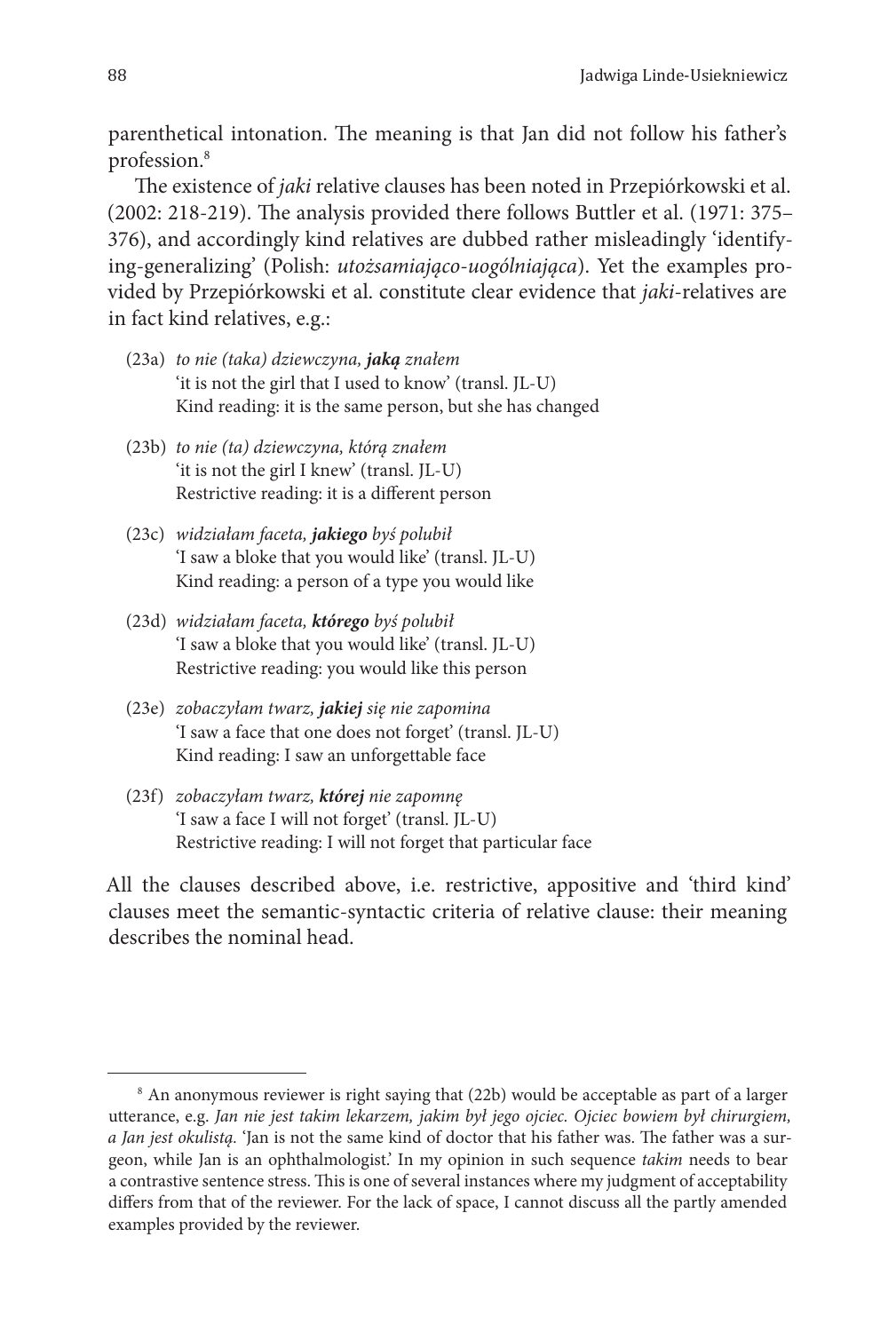parenthetical intonation. The meaning is that Jan did not follow his father's profession.8

The existence of *jaki* relative clauses has been noted in Przepiórkowski et al. (2002: 218-219). The analysis provided there follows Buttler et al. (1971: 375– 376), and accordingly kind relatives are dubbed rather misleadingly 'identifying-generalizing' (Polish: *utożsamiająco-uogólniająca*). Yet the examples provided by Przepiórkowski et al. constitute clear evidence that *jaki*-relatives are in fact kind relatives, e.g.:

- (23a) *to nie (taka) dziewczyna, jaką znałem* 'it is not the girl that I used to know' (transl. JL-U) Kind reading: it is the same person, but she has changed
- (23b) *to nie (ta) dziewczyna, którą znałem* 'it is not the girl I knew' (transl. JL-U) Restrictive reading: it is a different person
- (23c) *widziałam faceta, jakiego byś polubił* 'I saw a bloke that you would like' (transl. JL-U) Kind reading: a person of a type you would like
- (23d) *widziałam faceta, którego byś polubił* 'I saw a bloke that you would like' (transl. JL-U) Restrictive reading: you would like this person
- (23e) *zobaczyłam twarz, jakiej się nie zapomina* 'I saw a face that one does not forget' (transl. JL-U) Kind reading: I saw an unforgettable face
- (23f) *zobaczyłam twarz, której nie zapomnę* 'I saw a face I will not forget' (transl. JL-U) Restrictive reading: I will not forget that particular face

All the clauses described above, i.e. restrictive, appositive and 'third kind' clauses meet the semantic-syntactic criteria of relative clause: their meaning describes the nominal head.

<sup>8</sup> An anonymous reviewer is right saying that (22b) would be acceptable as part of a larger utterance, e.g. *Jan nie jest takim lekarzem, jakim był jego ojciec. Ojciec bowiem był chirurgiem, a Jan jest okulistą.* 'Jan is not the same kind of doctor that his father was. The father was a surgeon, while Jan is an ophthalmologist.' In my opinion in such sequence *takim* needs to bear a contrastive sentence stress. This is one of several instances where my judgment of acceptability differs from that of the reviewer. For the lack of space, I cannot discuss all the partly amended examples provided by the reviewer.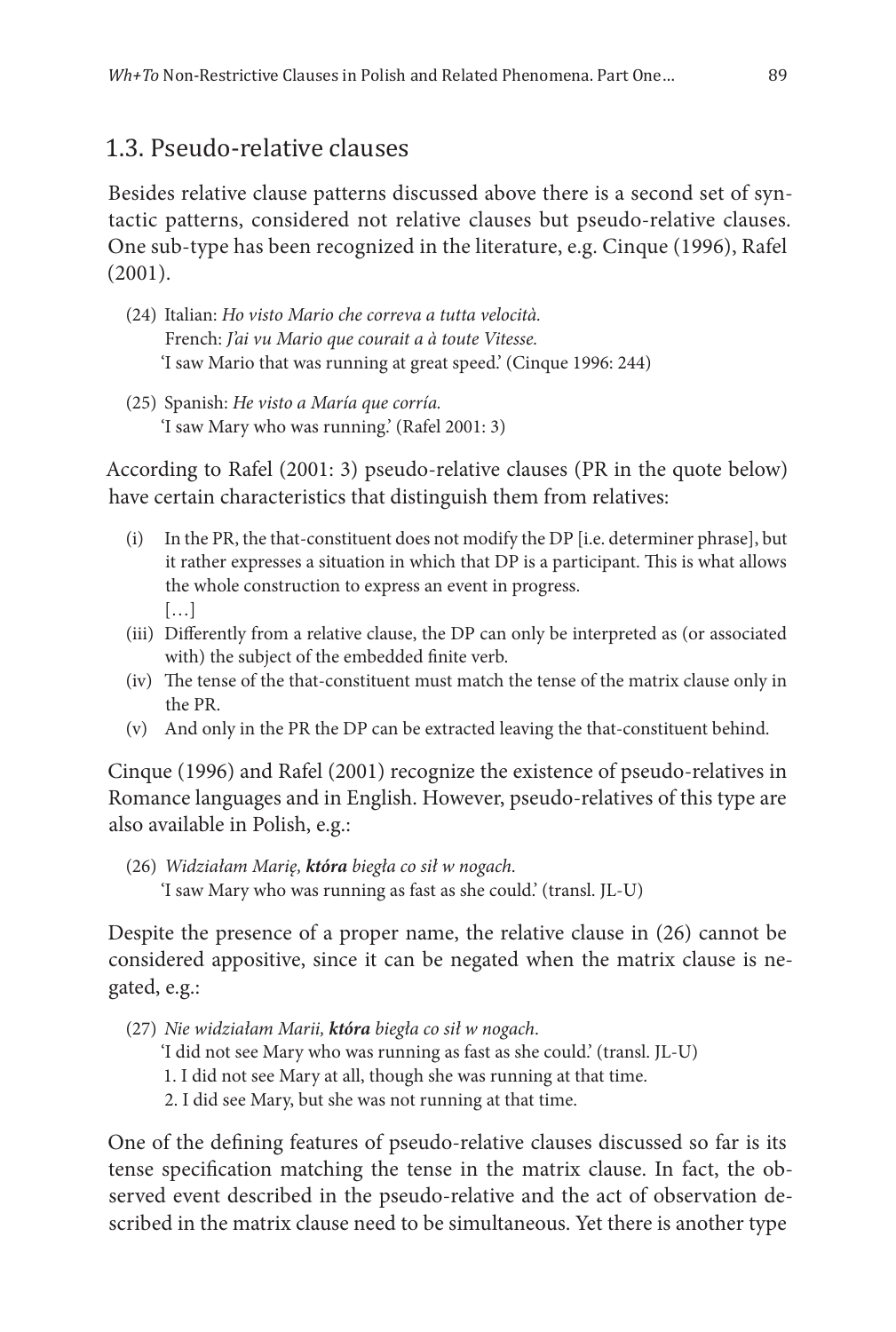### 1.3. Pseudo-relative clauses

Besides relative clause patterns discussed above there is a second set of syntactic patterns, considered not relative clauses but pseudo-relative clauses. One sub-type has been recognized in the literature, e.g. Cinque (1996), Rafel (2001).

- (24) Italian: *Ho visto Mario che correva a tutta velocità.* French: *J'ai vu Mario que courait a à toute Vitesse.* 'I saw Mario that was running at great speed.' (Cinque 1996: 244)
- (25) Spanish: *He visto a María que corría.* 'I saw Mary who was running.' (Rafel 2001: 3)

According to Rafel (2001: 3) pseudo-relative clauses (PR in the quote below) have certain characteristics that distinguish them from relatives:

- (i) In the PR, the that-constituent does not modify the DP [i.e. determiner phrase], but it rather expresses a situation in which that DP is a participant. This is what allows the whole construction to express an event in progress. […]
- (iii) Differently from a relative clause, the DP can only be interpreted as (or associated with) the subject of the embedded finite verb.
- (iv) The tense of the that-constituent must match the tense of the matrix clause only in the PR.
- (v) And only in the PR the DP can be extracted leaving the that-constituent behind.

Cinque (1996) and Rafel (2001) recognize the existence of pseudo-relatives in Romance languages and in English. However, pseudo-relatives of this type are also available in Polish, e.g.:

(26) *Widziałam Marię, która biegła co sił w nogach*. 'I saw Mary who was running as fast as she could.' (transl. JL-U)

Despite the presence of a proper name, the relative clause in (26) cannot be considered appositive, since it can be negated when the matrix clause is negated, e.g.:

- (27) *Nie widziałam Marii, która biegła co sił w nogach*.
	- 'I did not see Mary who was running as fast as she could.' (transl. JL-U)
	- 1. I did not see Mary at all, though she was running at that time.
	- 2. I did see Mary, but she was not running at that time.

One of the defining features of pseudo-relative clauses discussed so far is its tense specification matching the tense in the matrix clause. In fact, the observed event described in the pseudo-relative and the act of observation described in the matrix clause need to be simultaneous. Yet there is another type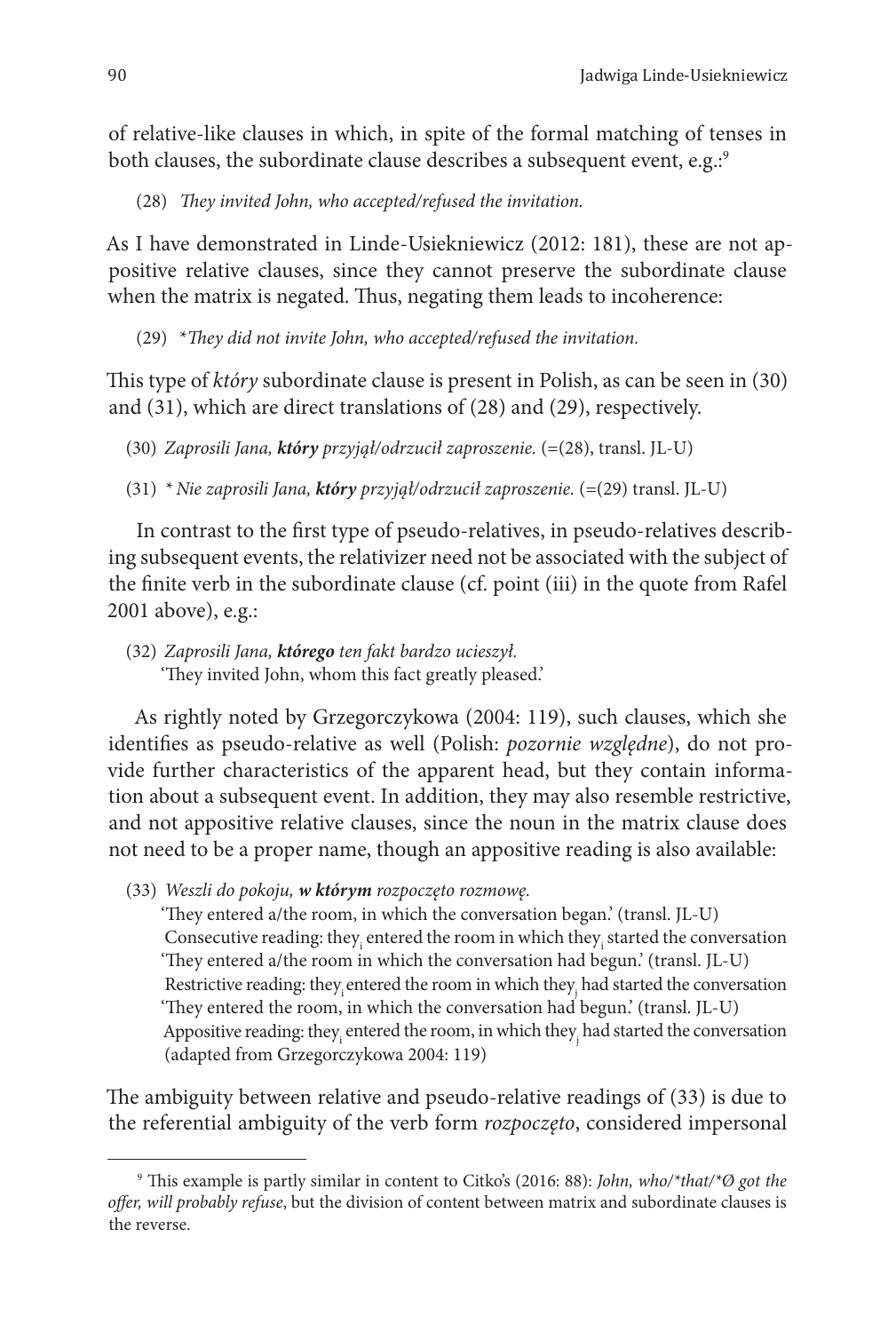of relative-like clauses in which, in spite of the formal matching of tenses in both clauses, the subordinate clause describes a subsequent event, e.g.<sup>5</sup>

(28) *They invited John, who accepted/refused the invitation.*

As I have demonstrated in Linde-Usiekniewicz (2012: 181), these are not appositive relative clauses, since they cannot preserve the subordinate clause when the matrix is negated. Thus, negating them leads to incoherence:

(29) \**They did not invite John, who accepted/refused the invitation.*

This type of *który* subordinate clause is present in Polish, as can be seen in (30) and (31), which are direct translations of (28) and (29), respectively.

- (30) *Zaprosili Jana, który przyjął/odrzucił zaproszenie.* (=(28), transl. JL-U)
- (31) *\* Nie zaprosili Jana, który przyjął/odrzucił zaproszenie.* (=(29) transl. JL-U)

In contrast to the first type of pseudo-relatives, in pseudo-relatives describing subsequent events, the relativizer need not be associated with the subject of the finite verb in the subordinate clause (cf. point (iii) in the quote from Rafel 2001 above), e.g.:

(32) *Zaprosili Jana, którego ten fakt bardzo ucieszył.* 'They invited John, whom this fact greatly pleased.'

As rightly noted by Grzegorczykowa (2004: 119), such clauses, which she identifies as pseudo-relative as well (Polish: *pozornie względne*), do not provide further characteristics of the apparent head, but they contain information about a subsequent event. In addition, they may also resemble restrictive, and not appositive relative clauses, since the noun in the matrix clause does not need to be a proper name, though an appositive reading is also available:

(33) *Weszli do pokoju, w którym rozpoczęto rozmowę.*

'They entered a/the room, in which the conversation began.' (transl. JL-U) Consecutive reading: they $_i$  entered the room in which they $_i$  started the conversation 'They entered a/the room in which the conversation had begun.' (transl. JL-U) Restrictive reading: they $_{\rm i}$ entered the room in which they $_{\rm j}$  had started the conversation 'They entered the room, in which the conversation had begun.' (transl. JL-U) Appositive reading: they $_{\rm i}$  entered the room, in which they $_{\rm j}$  had started the conversation (adapted from Grzegorczykowa 2004: 119)

The ambiguity between relative and pseudo-relative readings of (33) is due to the referential ambiguity of the verb form *rozpoczęto*, considered impersonal

<sup>9</sup> This example is partly similar in content to Citko's (2016: 88): *John, who/\*that/\*Ø got the offer, will probably refuse*, but the division of content between matrix and subordinate clauses is the reverse.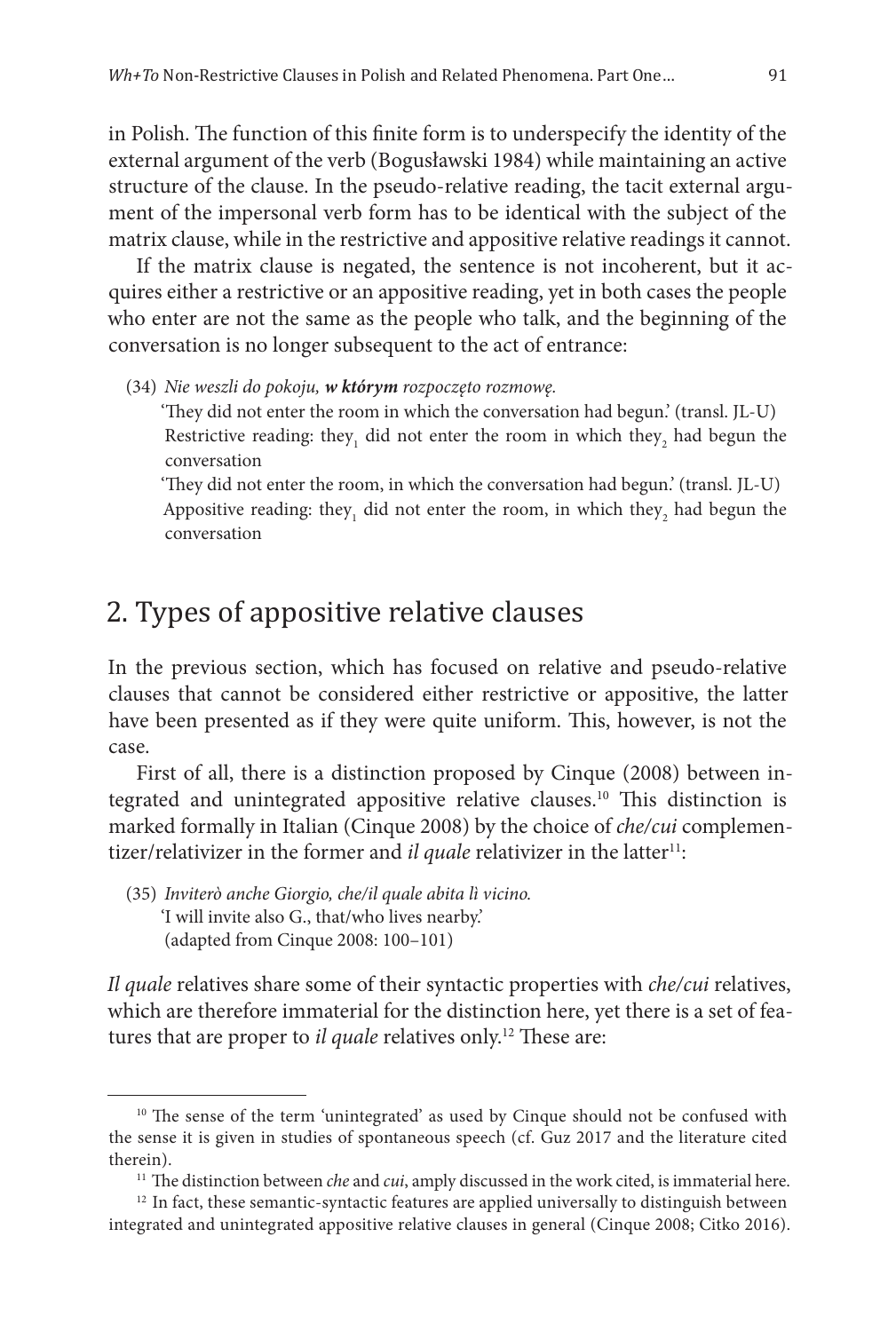in Polish. The function of this finite form is to underspecify the identity of the external argument of the verb (Bogusławski 1984) while maintaining an active structure of the clause. In the pseudo-relative reading, the tacit external argument of the impersonal verb form has to be identical with the subject of the matrix clause, while in the restrictive and appositive relative readings it cannot.

If the matrix clause is negated, the sentence is not incoherent, but it acquires either a restrictive or an appositive reading, yet in both cases the people who enter are not the same as the people who talk, and the beginning of the conversation is no longer subsequent to the act of entrance:

(34) *Nie weszli do pokoju, w którym rozpoczęto rozmowę.*

'They did not enter the room in which the conversation had begun.' (transl. JL-U) Restrictive reading: they<sub>1</sub> did not enter the room in which they<sub>2</sub> had begun the conversation

'They did not enter the room, in which the conversation had begun.' (transl. JL-U) Appositive reading: they<sub>1</sub> did not enter the room, in which they<sub>2</sub> had begun the conversation

# 2. Types of appositive relative clauses

In the previous section, which has focused on relative and pseudo-relative clauses that cannot be considered either restrictive or appositive, the latter have been presented as if they were quite uniform. This, however, is not the case.

First of all, there is a distinction proposed by Cinque (2008) between integrated and unintegrated appositive relative clauses.10 This distinction is marked formally in Italian (Cinque 2008) by the choice of *che/cui* complementizer/relativizer in the former and *il quale* relativizer in the latter<sup>11</sup>:

(35) *Inviterò anche Giorgio, che/il quale abita lì vicino.* 'I will invite also G., that/who lives nearby.' (adapted from Cinque 2008: 100–101)

*Il quale* relatives share some of their syntactic properties with *che/cui* relatives, which are therefore immaterial for the distinction here, yet there is a set of features that are proper to *il quale* relatives only.<sup>12</sup> These are:

<sup>&</sup>lt;sup>10</sup> The sense of the term 'unintegrated' as used by Cinque should not be confused with the sense it is given in studies of spontaneous speech (cf. Guz 2017 and the literature cited therein). 11 The distinction between *che* and *cui*, amply discussed in the work cited, is immaterial here.

 $12$  In fact, these semantic-syntactic features are applied universally to distinguish between integrated and unintegrated appositive relative clauses in general (Cinque 2008; Citko 2016).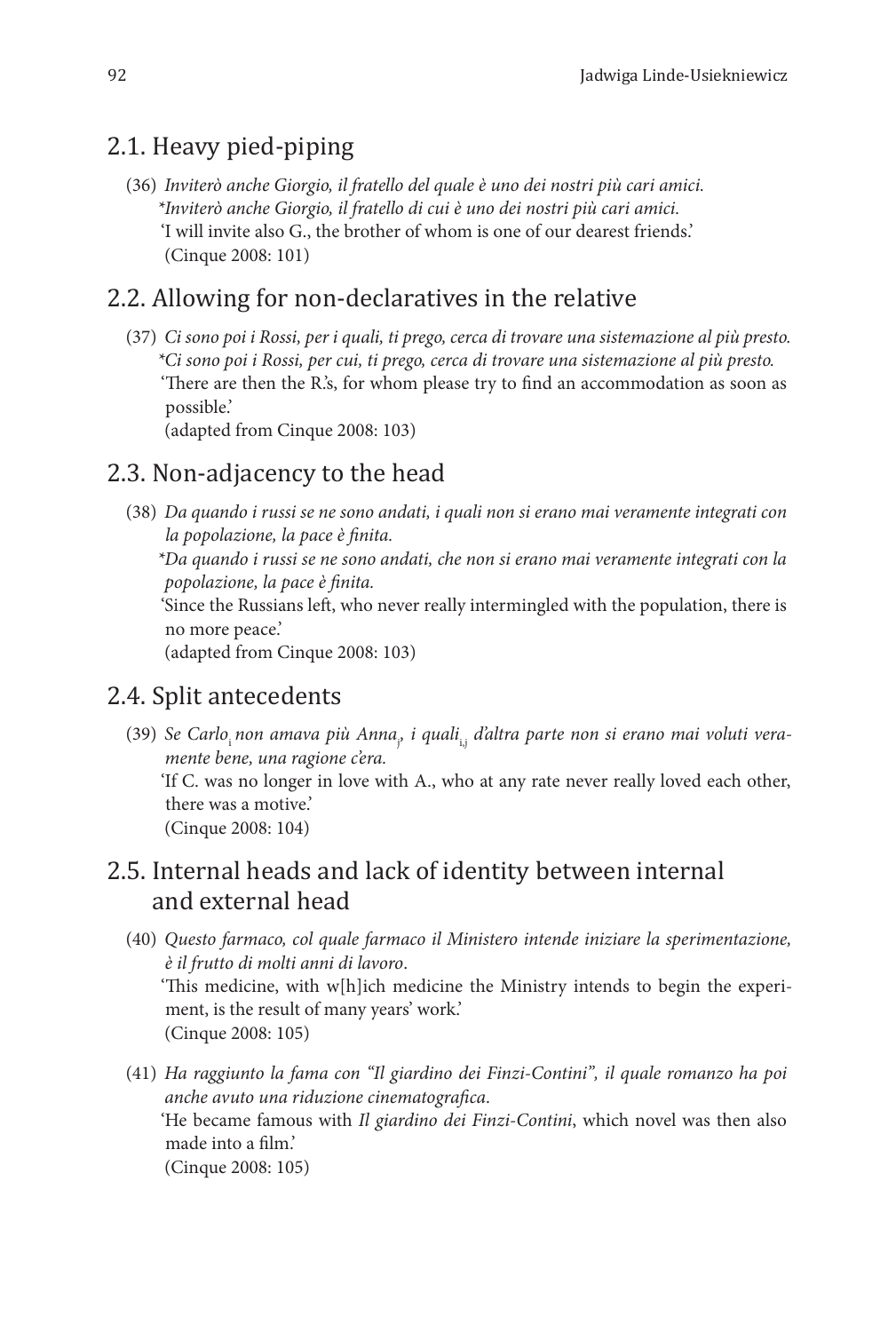### 2.1. Heavy pied-piping

(36) *Inviterò anche Giorgio, il fratello del quale è uno dei nostri più cari amici. \*Inviterò anche Giorgio, il fratello di cui è uno dei nostri più cari amici.* 'I will invite also G., the brother of whom is one of our dearest friends.' (Cinque 2008: 101)

### 2.2. Allowing for non-declaratives in the relative

(37) *Ci sono poi i Rossi, per i quali, ti prego, cerca di trovare una sistemazione al più presto. \*Ci sono poi i Rossi, per cui, ti prego, cerca di trovare una sistemazione al più presto.* 'There are then the R.'s, for whom please try to find an accommodation as soon as possible.' (adapted from Cinque 2008: 103)

2.3. Non-adjacency to the head

(38) *Da quando i russi se ne sono andati, i quali non si erano mai veramente integrati con la popolazione, la pace è finita.*

*\*Da quando i russi se ne sono andati, che non si erano mai veramente integrati con la popolazione, la pace è finita.*

'Since the Russians left, who never really intermingled with the population, there is no more peace.'

(adapted from Cinque 2008: 103)

#### 2.4. Split antecedents

(39) Se Carlo<sub>i</sub> non amava più Anna<sub>y</sub> i quali<sub>i,j</sub> d'altra parte non si erano mai voluti vera*mente bene, una ragione c'era.* 'If C. was no longer in love with A., who at any rate never really loved each other,

there was a motive.' (Cinque 2008: 104)

### 2.5. Internal heads and lack of identity between internal and external head

- (40) *Questo farmaco, col quale farmaco il Ministero intende iniziare la sperimentazione, è il frutto di molti anni di lavoro*. 'This medicine, with w[h]ich medicine the Ministry intends to begin the experiment, is the result of many years' work.' (Cinque 2008: 105)
- (41) *Ha raggiunto la fama con "Il giardino dei Finzi-Contini", il quale romanzo ha poi anche avuto una riduzione cinematografica*. 'He became famous with *Il giardino dei Finzi-Contini*, which novel was then also made into a film.' (Cinque 2008: 105)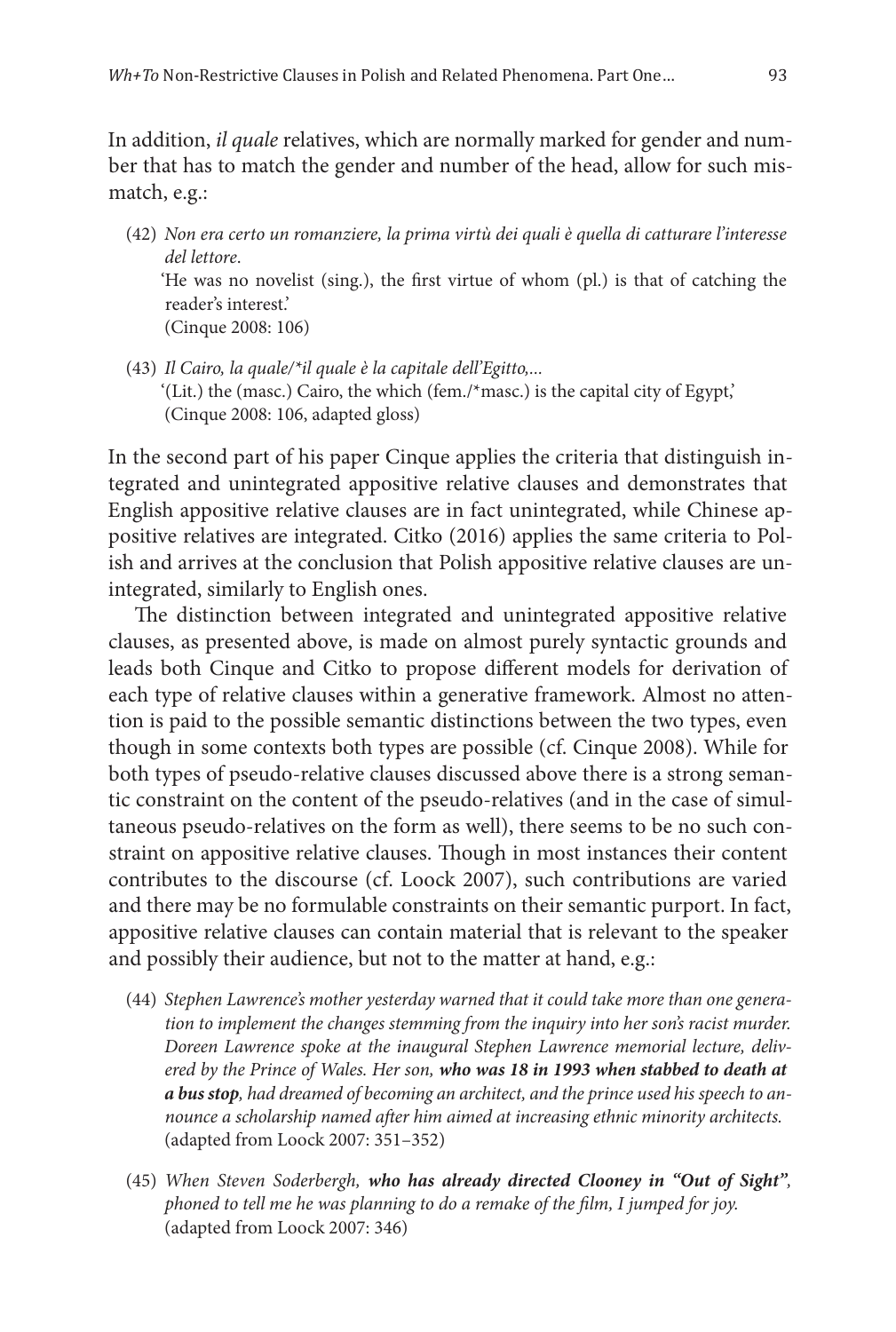In addition, *il quale* relatives, which are normally marked for gender and number that has to match the gender and number of the head, allow for such mismatch, e.g.:

- (42) *Non era certo un romanziere, la prima virtù dei quali è quella di catturare l'interesse del lettore*. 'He was no novelist (sing.), the first virtue of whom (pl.) is that of catching the reader's interest.' (Cinque 2008: 106)
- (43) *Il Cairo, la quale/\*il quale è la capitale dell'Egitto,...* '(Lit.) the (masc.) Cairo, the which (fem./\*masc.) is the capital city of Egypt,' (Cinque 2008: 106, adapted gloss)

In the second part of his paper Cinque applies the criteria that distinguish integrated and unintegrated appositive relative clauses and demonstrates that English appositive relative clauses are in fact unintegrated, while Chinese appositive relatives are integrated. Citko (2016) applies the same criteria to Polish and arrives at the conclusion that Polish appositive relative clauses are unintegrated, similarly to English ones.

The distinction between integrated and unintegrated appositive relative clauses, as presented above, is made on almost purely syntactic grounds and leads both Cinque and Citko to propose different models for derivation of each type of relative clauses within a generative framework. Almost no attention is paid to the possible semantic distinctions between the two types, even though in some contexts both types are possible (cf. Cinque 2008). While for both types of pseudo-relative clauses discussed above there is a strong semantic constraint on the content of the pseudo-relatives (and in the case of simultaneous pseudo-relatives on the form as well), there seems to be no such constraint on appositive relative clauses. Though in most instances their content contributes to the discourse (cf. Loock 2007), such contributions are varied and there may be no formulable constraints on their semantic purport. In fact, appositive relative clauses can contain material that is relevant to the speaker and possibly their audience, but not to the matter at hand, e.g.:

- (44) *Stephen Lawrence's mother yesterday warned that it could take more than one generation to implement the changes stemming from the inquiry into her son's racist murder. Doreen Lawrence spoke at the inaugural Stephen Lawrence memorial lecture, delivered by the Prince of Wales. Her son, who was 18 in 1993 when stabbed to death at a bus stop, had dreamed of becoming an architect, and the prince used his speech to announce a scholarship named after him aimed at increasing ethnic minority architects.* (adapted from Loock 2007: 351–352)
- (45) *When Steven Soderbergh, who has already directed Clooney in "Out of Sight", phoned to tell me he was planning to do a remake of the film, I jumped for joy.* (adapted from Loock 2007: 346)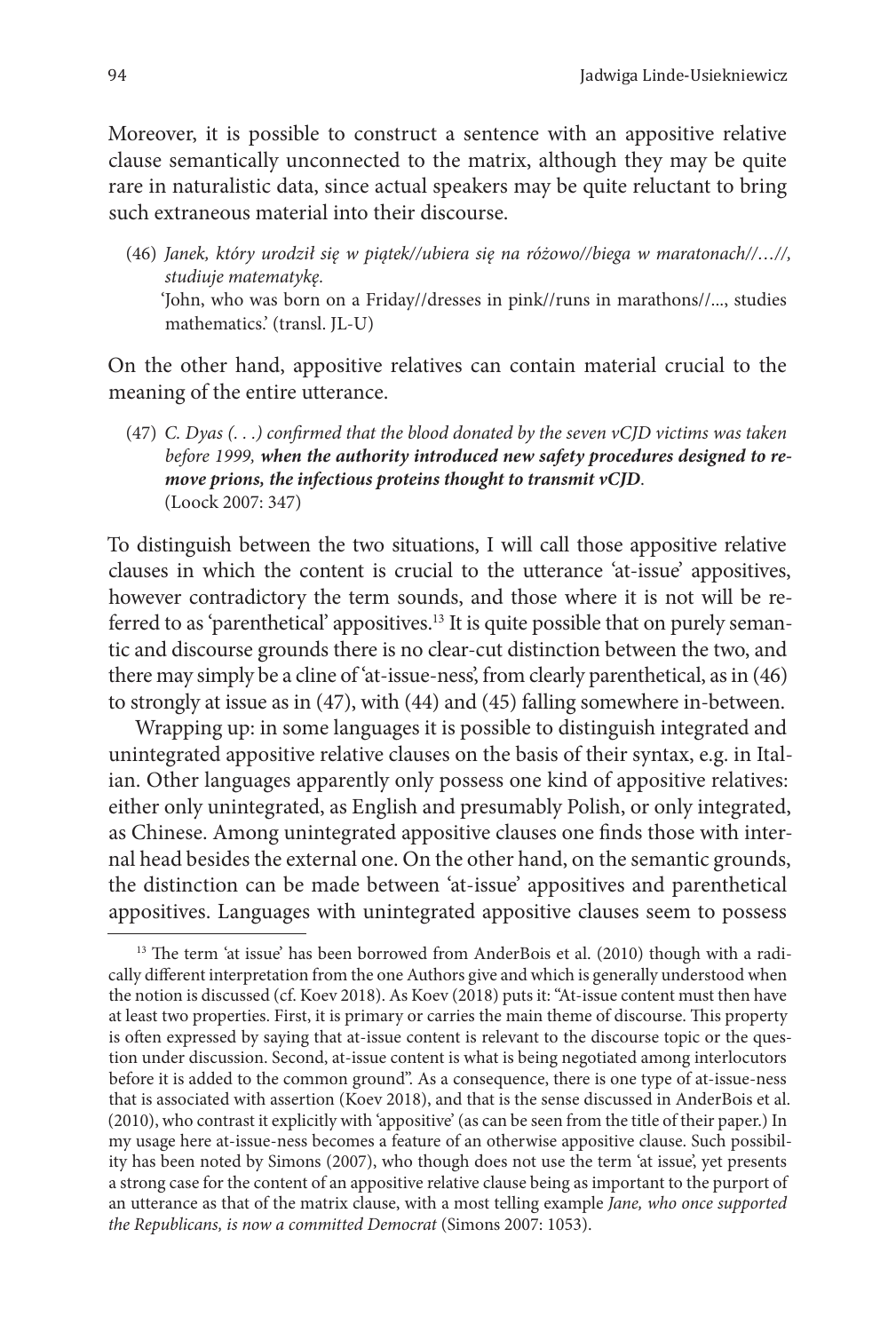Moreover, it is possible to construct a sentence with an appositive relative clause semantically unconnected to the matrix, although they may be quite rare in naturalistic data, since actual speakers may be quite reluctant to bring such extraneous material into their discourse.

(46) *Janek, który urodził się w piątek//ubiera się na różowo//biega w maratonach//…//, studiuje matematykę.* 'John, who was born on a Friday//dresses in pink//runs in marathons//..., studies mathematics.' (transl. JL-U)

On the other hand, appositive relatives can contain material crucial to the meaning of the entire utterance.

(47) *C. Dyas (. . .) confirmed that the blood donated by the seven vCJD victims was taken before 1999, when the authority introduced new safety procedures designed to remove prions, the infectious proteins thought to transmit vCJD*. (Loock 2007: 347)

To distinguish between the two situations, I will call those appositive relative clauses in which the content is crucial to the utterance 'at-issue' appositives, however contradictory the term sounds, and those where it is not will be referred to as 'parenthetical' appositives.<sup>13</sup> It is quite possible that on purely semantic and discourse grounds there is no clear-cut distinction between the two, and there may simply be a cline of 'at-issue-ness', from clearly parenthetical, as in (46) to strongly at issue as in (47), with (44) and (45) falling somewhere in-between.

Wrapping up: in some languages it is possible to distinguish integrated and unintegrated appositive relative clauses on the basis of their syntax, e.g. in Italian. Other languages apparently only possess one kind of appositive relatives: either only unintegrated, as English and presumably Polish, or only integrated, as Chinese. Among unintegrated appositive clauses one finds those with internal head besides the external one. On the other hand, on the semantic grounds, the distinction can be made between 'at-issue' appositives and parenthetical appositives. Languages with unintegrated appositive clauses seem to possess

<sup>&</sup>lt;sup>13</sup> The term 'at issue' has been borrowed from AnderBois et al. (2010) though with a radically different interpretation from the one Authors give and which is generally understood when the notion is discussed (cf. Koev 2018). As Koev (2018) puts it: "At-issue content must then have at least two properties. First, it is primary or carries the main theme of discourse. This property is often expressed by saying that at-issue content is relevant to the discourse topic or the question under discussion. Second, at-issue content is what is being negotiated among interlocutors before it is added to the common ground". As a consequence, there is one type of at-issue-ness that is associated with assertion (Koev 2018), and that is the sense discussed in AnderBois et al. (2010), who contrast it explicitly with 'appositive' (as can be seen from the title of their paper.) In my usage here at-issue-ness becomes a feature of an otherwise appositive clause. Such possibility has been noted by Simons (2007), who though does not use the term 'at issue', yet presents a strong case for the content of an appositive relative clause being as important to the purport of an utterance as that of the matrix clause, with a most telling example *Jane, who once supported the Republicans, is now a committed Democrat* (Simons 2007: 1053).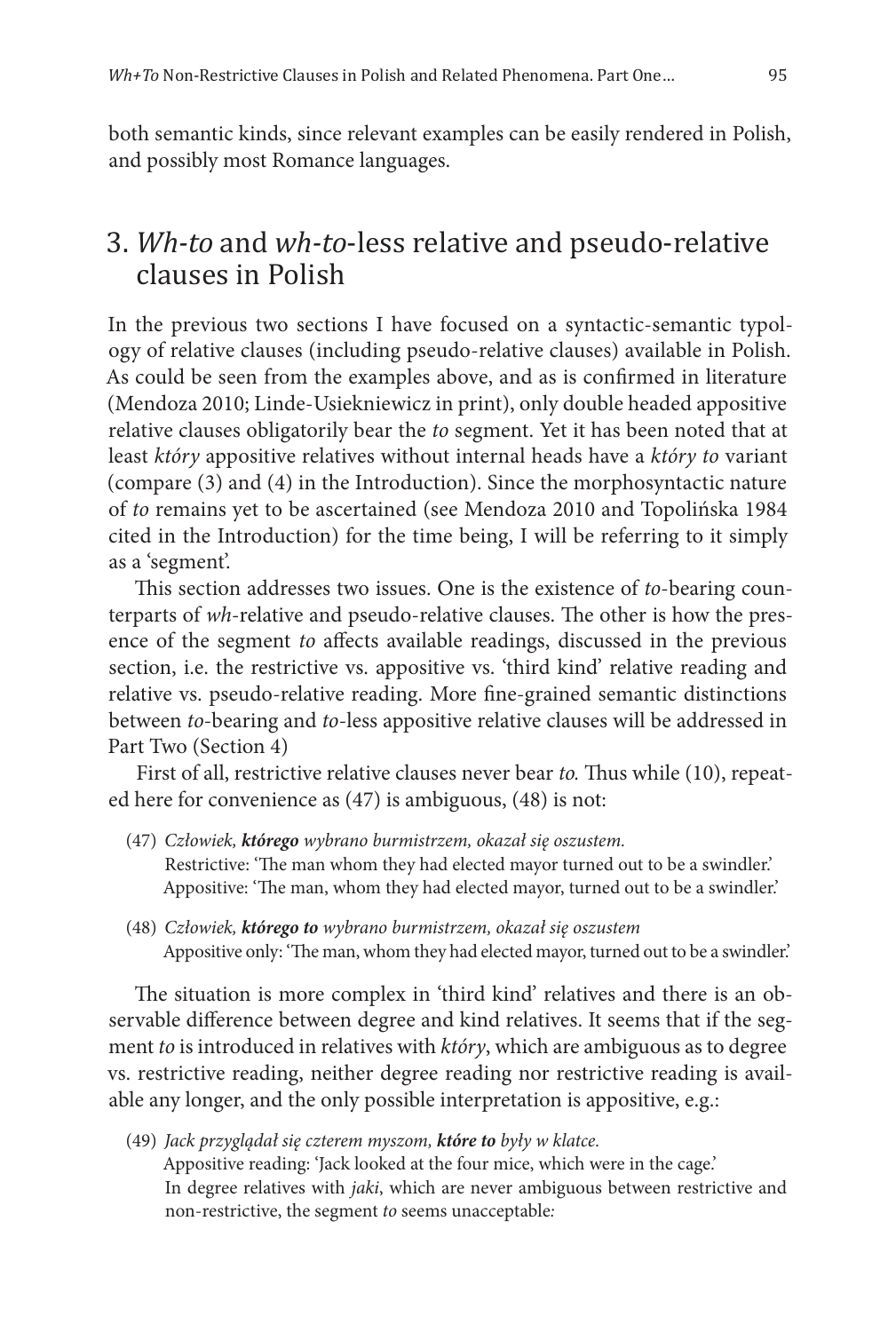both semantic kinds, since relevant examples can be easily rendered in Polish, and possibly most Romance languages.

# 3. *Wh-to* and *wh-to*-less relative and pseudo-relative clauses in Polish

In the previous two sections I have focused on a syntactic-semantic typology of relative clauses (including pseudo-relative clauses) available in Polish. As could be seen from the examples above, and as is confirmed in literature (Mendoza 2010; Linde-Usiekniewicz in print), only double headed appositive relative clauses obligatorily bear the *to* segment. Yet it has been noted that at least *który* appositive relatives without internal heads have a *który to* variant (compare (3) and (4) in the Introduction). Since the morphosyntactic nature of *to* remains yet to be ascertained (see Mendoza 2010 and Topolińska 1984 cited in the Introduction) for the time being, I will be referring to it simply as a 'segment'.

This section addresses two issues. One is the existence of *to*-bearing counterparts of *wh*-relative and pseudo-relative clauses. The other is how the presence of the segment *to* affects available readings, discussed in the previous section, i.e. the restrictive vs. appositive vs. 'third kind' relative reading and relative vs. pseudo-relative reading. More fine-grained semantic distinctions between *to*-bearing and *to*-less appositive relative clauses will be addressed in Part Two (Section 4)

First of all, restrictive relative clauses never bear *to.* Thus while (10), repeated here for convenience as (47) is ambiguous, (48) is not:

- (47) *Człowiek, którego wybrano burmistrzem, okazał się oszustem.* Restrictive: 'The man whom they had elected mayor turned out to be a swindler.' Appositive: 'The man, whom they had elected mayor, turned out to be a swindler.'
- (48) *Człowiek, którego to wybrano burmistrzem, okazał się oszustem* Appositive only: 'The man, whom they had elected mayor, turned out to be a swindler.'

The situation is more complex in 'third kind' relatives and there is an observable difference between degree and kind relatives. It seems that if the segment *to* is introduced in relatives with *który*, which are ambiguous as to degree vs. restrictive reading, neither degree reading nor restrictive reading is available any longer, and the only possible interpretation is appositive, e.g.:

(49) *Jack przyglądał się czterem myszom, które to były w klatce.* Appositive reading: 'Jack looked at the four mice, which were in the cage.' In degree relatives with *jaki*, which are never ambiguous between restrictive and non-restrictive, the segment *to* seems unacceptable*:*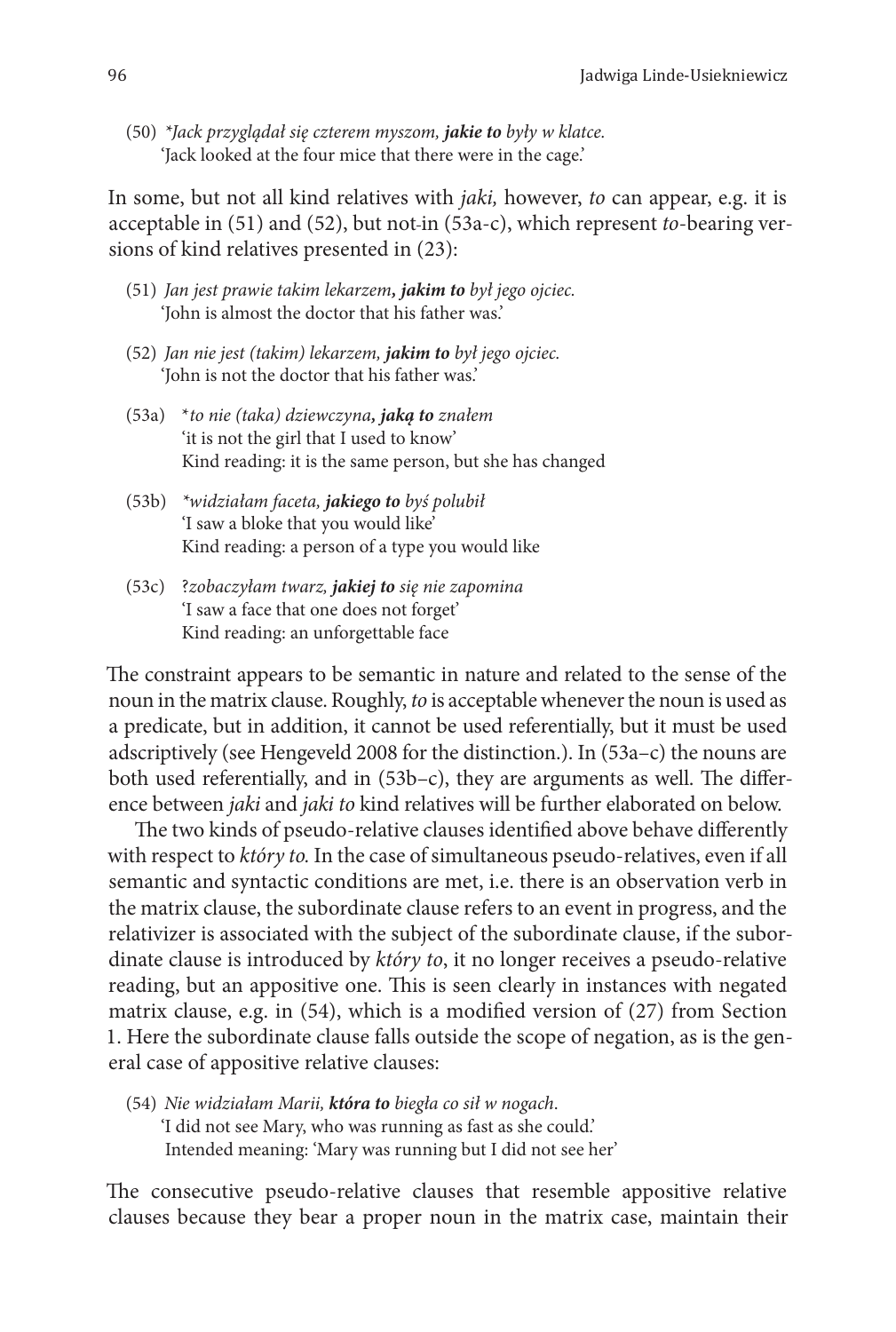(50) *\*Jack przyglądał się czterem myszom, jakie to były w klatce.* 'Jack looked at the four mice that there were in the cage.'

In some, but not all kind relatives with *jaki,* however, *to* can appear, e.g. it is acceptable in (51) and (52), but not in (53a-c), which represent *to*-bearing versions of kind relatives presented in (23):

- (51) *Jan jest prawie takim lekarzem, jakim to był jego ojciec.* 'John is almost the doctor that his father was.'
- (52) *Jan nie jest (takim) lekarzem, jakim to był jego ojciec.* 'John is not the doctor that his father was.'
- (53a) \**to nie (taka) dziewczyna, jaką to znałem* 'it is not the girl that I used to know' Kind reading: it is the same person, but she has changed
- (53b) *\*widziałam faceta, jakiego to byś polubił* 'I saw a bloke that you would like' Kind reading: a person of a type you would like
- (53c) ?*zobaczyłam twarz, jakiej to się nie zapomina* 'I saw a face that one does not forget' Kind reading: an unforgettable face

The constraint appears to be semantic in nature and related to the sense of the noun in the matrix clause. Roughly, *to* is acceptable whenever the noun is used as a predicate, but in addition, it cannot be used referentially, but it must be used adscriptively (see Hengeveld 2008 for the distinction.). In (53a–c) the nouns are both used referentially, and in (53b–c), they are arguments as well. The difference between *jaki* and *jaki to* kind relatives will be further elaborated on below.

The two kinds of pseudo-relative clauses identified above behave differently with respect to *który to.* In the case of simultaneous pseudo-relatives, even if all semantic and syntactic conditions are met, i.e. there is an observation verb in the matrix clause, the subordinate clause refers to an event in progress, and the relativizer is associated with the subject of the subordinate clause, if the subordinate clause is introduced by *który to*, it no longer receives a pseudo-relative reading, but an appositive one. This is seen clearly in instances with negated matrix clause, e.g. in (54), which is a modified version of (27) from Section 1. Here the subordinate clause falls outside the scope of negation, as is the general case of appositive relative clauses:

(54) *Nie widziałam Marii, która to biegła co sił w nogach*. 'I did not see Mary, who was running as fast as she could.' Intended meaning: 'Mary was running but I did not see her'

The consecutive pseudo-relative clauses that resemble appositive relative clauses because they bear a proper noun in the matrix case, maintain their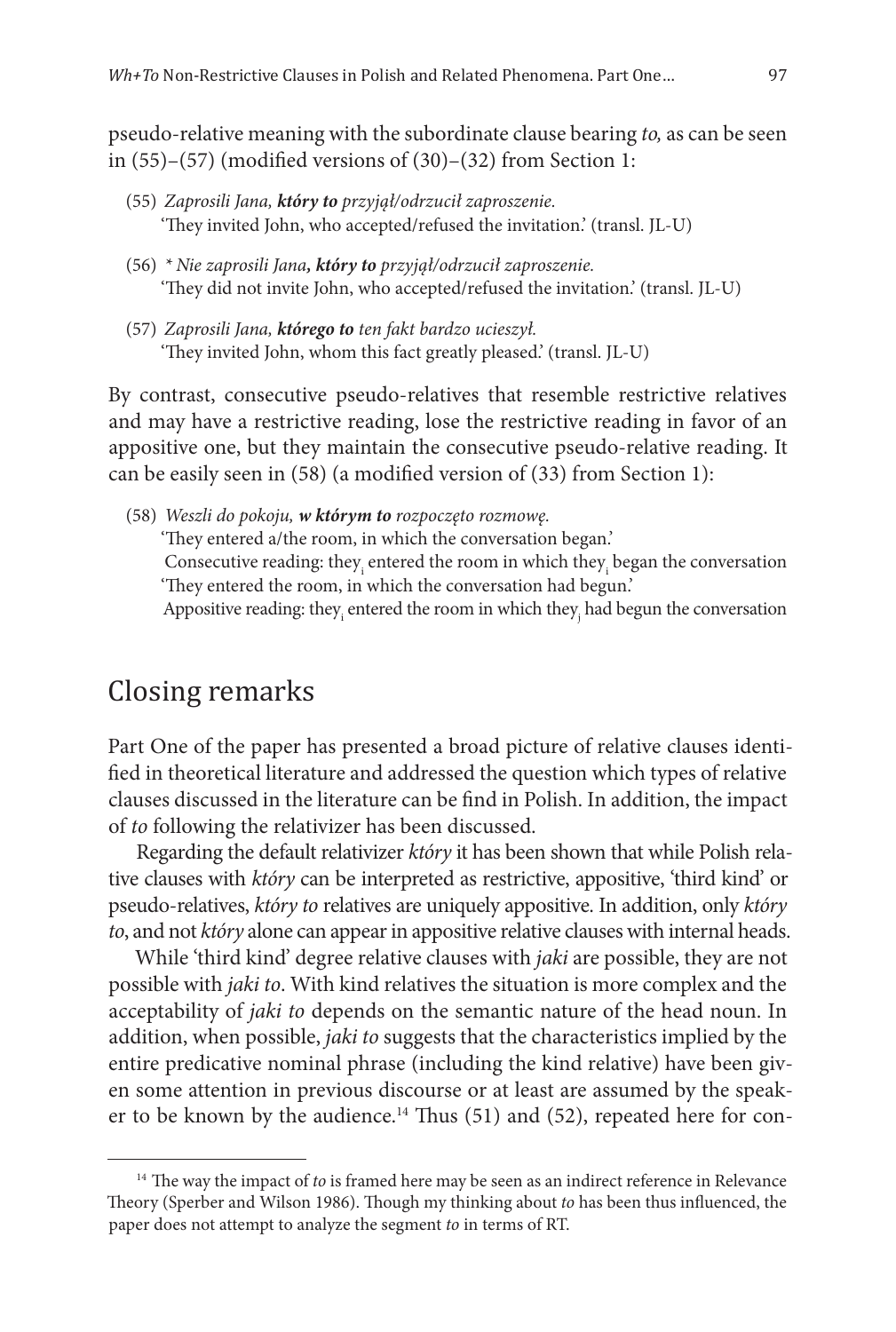pseudo-relative meaning with the subordinate clause bearing *to,* as can be seen in  $(55)-(57)$  (modified versions of  $(30)-(32)$  from Section 1:

- (55) *Zaprosili Jana, który to przyjął/odrzucił zaproszenie.* 'They invited John, who accepted/refused the invitation.' (transl. JL-U)
- (56) *\* Nie zaprosili Jana, który to przyjął/odrzucił zaproszenie.* 'They did not invite John, who accepted/refused the invitation.' (transl. JL-U)
- (57) *Zaprosili Jana, którego to ten fakt bardzo ucieszył.* 'They invited John, whom this fact greatly pleased.' (transl. JL-U)

By contrast, consecutive pseudo-relatives that resemble restrictive relatives and may have a restrictive reading, lose the restrictive reading in favor of an appositive one, but they maintain the consecutive pseudo-relative reading. It can be easily seen in (58) (a modified version of (33) from Section 1):

(58) *Weszli do pokoju, w którym to rozpoczęto rozmowę.* 'They entered a/the room, in which the conversation began.' Consecutive reading: they<sub>i</sub> entered the room in which they<sub>i</sub> began the conversation 'They entered the room, in which the conversation had begun.' Appositive reading: they $_{\rm i}$  entered the room in which they $_{\rm j}$  had begun the conversation

### Closing remarks

Part One of the paper has presented a broad picture of relative clauses identified in theoretical literature and addressed the question which types of relative clauses discussed in the literature can be find in Polish. In addition, the impact of *to* following the relativizer has been discussed.

Regarding the default relativizer *który* it has been shown that while Polish relative clauses with *który* can be interpreted as restrictive, appositive, 'third kind' or pseudo-relatives, *który to* relatives are uniquely appositive. In addition, only *który to*, and not *który* alone can appear in appositive relative clauses with internal heads.

While 'third kind' degree relative clauses with *jaki* are possible, they are not possible with *jaki to*. With kind relatives the situation is more complex and the acceptability of *jaki to* depends on the semantic nature of the head noun. In addition, when possible, *jaki to* suggests that the characteristics implied by the entire predicative nominal phrase (including the kind relative) have been given some attention in previous discourse or at least are assumed by the speaker to be known by the audience.<sup>14</sup> Thus  $(51)$  and  $(52)$ , repeated here for con-

<sup>&</sup>lt;sup>14</sup> The way the impact of *to* is framed here may be seen as an indirect reference in Relevance Theory (Sperber and Wilson 1986). Though my thinking about *to* has been thus influenced, the paper does not attempt to analyze the segment *to* in terms of RT.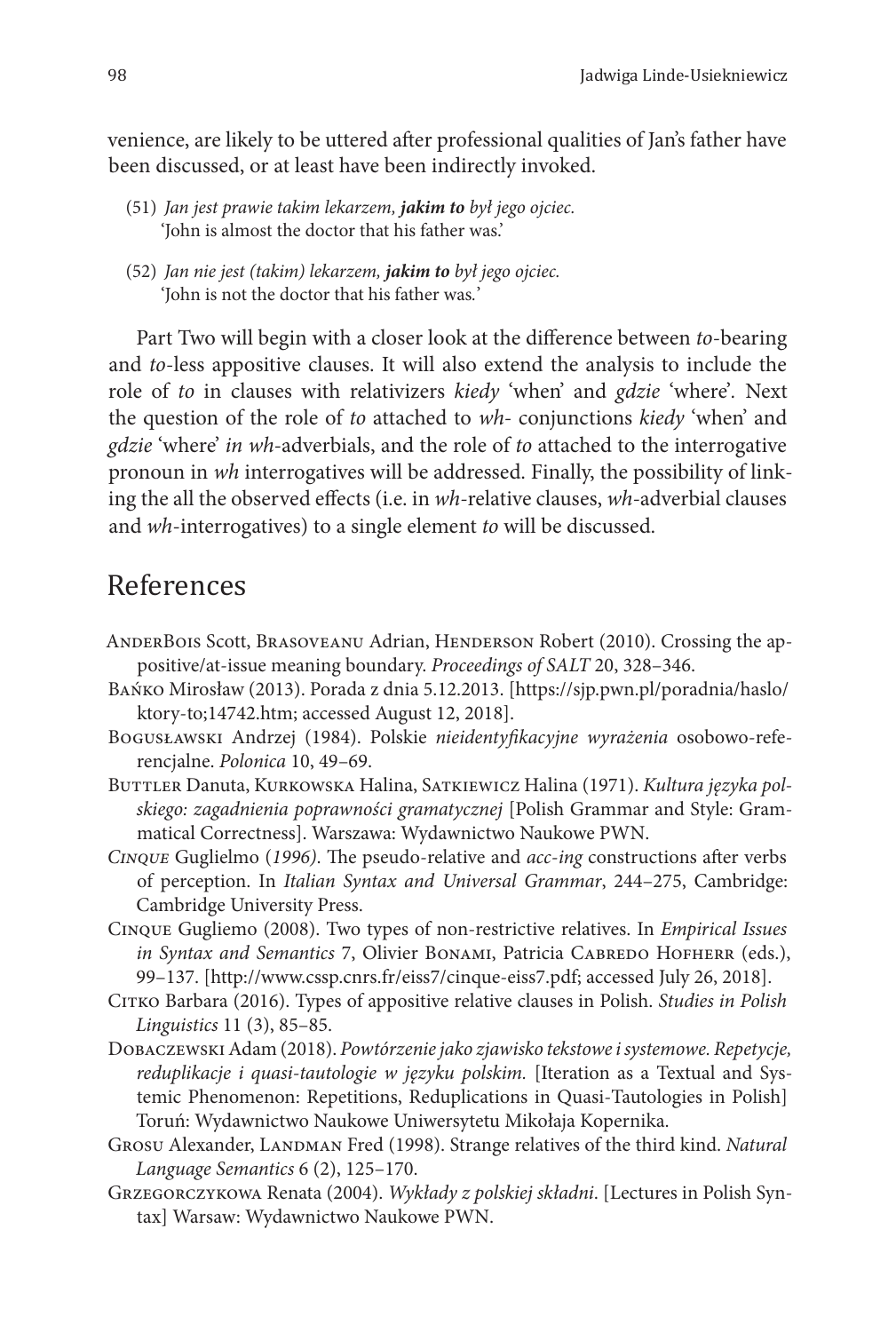venience, are likely to be uttered after professional qualities of Jan's father have been discussed, or at least have been indirectly invoked.

- (51) *Jan jest prawie takim lekarzem, jakim to był jego ojciec.* 'John is almost the doctor that his father was.'
- (52) *Jan nie jest (takim) lekarzem, jakim to był jego ojciec.* 'John is not the doctor that his father was*.*'

Part Two will begin with a closer look at the difference between *to*-bearing and *to*-less appositive clauses. It will also extend the analysis to include the role of *to* in clauses with relativizers *kiedy* 'when' and *gdzie* 'where'*.* Next the question of the role of *to* attached to *wh-* conjunctions *kiedy* 'when' and *gdzie* 'where' *in wh-*adverbials, and the role of *to* attached to the interrogative pronoun in *wh* interrogatives will be addressed. Finally, the possibility of linking the all the observed effects (i.e. in *wh-*relative clauses, *wh-*adverbial clauses and *wh*-interrogatives) to a single element *to* will be discussed.

# References

- AnderBois Scott, Brasoveanu Adrian, Henderson Robert (2010). Crossing the appositive/at-issue meaning boundary. *Proceedings of SALT* 20, 328–346.
- Bańko Mirosław (2013). Porada z dnia 5.12.2013. [https://sjp.pwn.pl/poradnia/haslo/ ktory-to;14742.htm; accessed August 12, 2018].
- Bogusławski Andrzej (1984). Polskie *nieidentyfikacyjne wyrażenia* osobowo-referencjalne. *Polonica* 10, 49–69.
- BUTTLER Danuta, KURKOWSKA Halina, SATKIEWICZ Halina (1971). *Kultura języka polskiego: zagadnienia poprawności gramatycznej* [Polish Grammar and Style: Grammatical Correctness]. Warszawa: Wydawnictwo Naukowe PWN.
- *Cinque* Guglielmo (*1996)*. The pseudo-relative and *acc*-*ing* constructions after verbs of perception. In *Italian Syntax and Universal Grammar*, 244–275, Cambridge: Cambridge University Press.
- Cinque Gugliemo (2008). Two types of non-restrictive relatives. In *Empirical Issues in Syntax and Semantics* 7, Olivier Bonami, Patricia Cabredo Hofherr (eds.), 99–137. [http://www.cssp.cnrs.fr/eiss7/cinque-eiss7.pdf; accessed July 26, 2018].
- Citko Barbara (2016). Types of appositive relative clauses in Polish. *Studies in Polish Linguistics* 11 (3), 85–85.
- Dobaczewski Adam (2018). *Powtórzenie jako zjawisko tekstowe i systemowe. Repetycje, reduplikacje i quasi-tautologie w języku polskim.* [Iteration as a Textual and Systemic Phenomenon: Repetitions, Reduplications in Quasi-Tautologies in Polish] Toruń: Wydawnictwo Naukowe Uniwersytetu Mikołaja Kopernika.
- GROSU Alexander, LANDMAN Fred (1998). Strange relatives of the third kind. *Natural Language Semantics* 6 (2), 125–170.
- Grzegorczykowa Renata (2004). *Wykłady z polskiej składni*. [Lectures in Polish Syntax] Warsaw: Wydawnictwo Naukowe PWN.